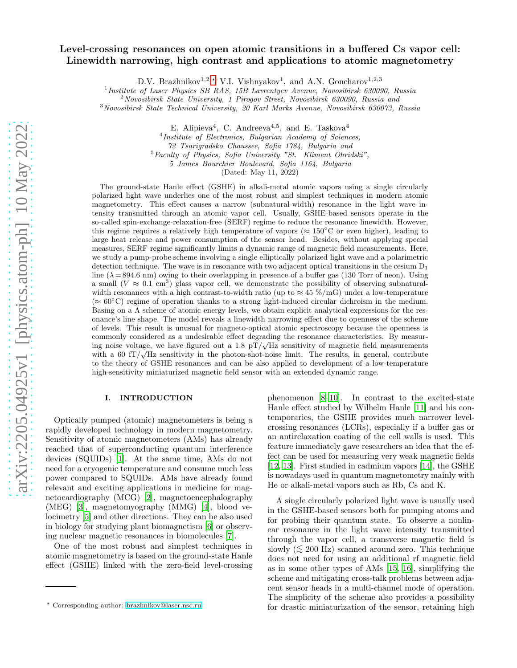# Level-crossing resonances on open atomic transitions in a buffered Cs vapor cell: Linewidth narrowing, high contrast and applications to atomic magnetometry

D.V. Brazhnikov<sup>1,2</sup>,\* V.I. Vishnyakov<sup>1</sup>, and A.N. Goncharov<sup>1,2,3</sup>

<sup>1</sup> Institute of Laser Physics SB RAS, 15B Lavrentyev Avenue, Novosibirsk 630090, Russia

<sup>2</sup>Novosibirsk State University, 1 Pirogov Street, Novosibirsk 630090, Russia and

<sup>3</sup>Novosibirsk State Technical University, 20 Karl Marks Avenue, Novosibirsk 630073, Russia

E. Alipieva<sup>4</sup>, C. Andreeva<sup>4,5</sup>, and E. Taskova<sup>4</sup>

4 Institute of Electronics, Bulgarian Academy of Sciences,

72 Tsarigradsko Chaussee, Sofia 1784, Bulgaria and

 $<sup>5</sup>$  Faculty of Physics, Sofia University "St. Kliment Ohridski",</sup>

5 James Bourchier Boulevard, Sofia 1164, Bulgaria

(Dated: May 11, 2022)

The ground-state Hanle effect (GSHE) in alkali-metal atomic vapors using a single circularly polarized light wave underlies one of the most robust and simplest techniques in modern atomic magnetometry. This effect causes a narrow (subnatural-width) resonance in the light wave intensity transmitted through an atomic vapor cell. Usually, GSHE-based sensors operate in the so-called spin-exchange-relaxation-free (SERF) regime to reduce the resonance linewidth. However, this regime requires a relatively high temperature of vapors ( $\approx 150^{\circ}$ C or even higher), leading to large heat release and power consumption of the sensor head. Besides, without applying special measures, SERF regime significantly limits a dynamic range of magnetic field measurements. Here, we study a pump-probe scheme involving a single elliptically polarized light wave and a polarimetric detection technique. The wave is in resonance with two adjacent optical transitions in the cesium  $D_1$ line ( $\lambda$  = 894.6 nm) owing to their overlapping in presence of a buffer gas (130 Torr of neon). Using a small  $(V \approx 0.1 \text{ cm}^3)$  glass vapor cell, we demonstrate the possibility of observing subnaturalwidth resonances with a high contrast-to-width ratio (up to  $\approx 45 \ \% / \text{mG}$ ) under a low-temperature  $(\approx 60^{\circ}$ C) regime of operation thanks to a strong light-induced circular dichroism in the medium. Basing on a  $\Lambda$  scheme of atomic energy levels, we obtain explicit analytical expressions for the resonance's line shape. The model reveals a linewidth narrowing effect due to openness of the scheme of levels. This result is unusual for magneto-optical atomic spectroscopy because the openness is commonly considered as a undesirable effect degrading the resonance characteristics. By measuring noise voltage, we have figured out a 1.8 pT/ $\sqrt{Hz}$  sensitivity of magnetic field measurements with a 60 fT/ $\sqrt{Hz}$  sensitivity in the photon-shot-noise limit. The results, in general, contribute to the theory of GSHE resonances and can be also applied to development of a low-temperature high-sensitivity miniaturized magnetic field sensor with an extended dynamic range.

## I. INTRODUCTION

Optically pumped (atomic) magnetometers is being a rapidly developed technology in modern magnetometry. Sensitivity of atomic magnetometers (AMs) has already reached that of superconducting quantum interference devices (SQUIDs) [\[1\]](#page-14-0). At the same time, AMs do not need for a cryogenic temperature and consume much less power compared to SQUIDs. AMs have already found relevant and exciting applications in medicine for magnetocardiography (MCG) [\[2\]](#page-14-1), magnetoencephalography (MEG) [\[3](#page-14-2)], magnetomyography (MMG) [\[4\]](#page-14-3), blood velocimetry [\[5](#page-14-4)] and other directions. They can be also used in biology for studying plant biomagnetism [\[6](#page-14-5)] or observing nuclear magnetic resonances in biomolecules [\[7\]](#page-14-6).

One of the most robust and simplest techniques in atomic magnetometry is based on the ground-state Hanle effect (GSHE) linked with the zero-field level-crossing

phenomenon [\[8](#page-14-7)[–10](#page-14-8)]. In contrast to the excited-state Hanle effect studied by Wilhelm Hanle [\[11\]](#page-14-9) and his contemporaries, the GSHE provides much narrower levelcrossing resonances (LCRs), especially if a buffer gas or an antirelaxation coating of the cell walls is used. This feature immediately gave researchers an idea that the effect can be used for measuring very weak magnetic fields [\[12,](#page-14-10) [13](#page-14-11)]. First studied in cadmium vapors [\[14\]](#page-14-12), the GSHE is nowadays used in quantum magnetometry mainly with He or alkali-metal vapors such as Rb, Cs and K.

A single circularly polarized light wave is usually used in the GSHE-based sensors both for pumping atoms and for probing their quantum state. To observe a nonlinear resonance in the light wave intensity transmitted through the vapor cell, a transverse magnetic field is slowly ( $\leq 200$  Hz) scanned around zero. This technique does not need for using an additional rf magnetic field as in some other types of AMs [\[15,](#page-14-13) [16](#page-15-0)], simplifying the scheme and mitigating cross-talk problems between adjacent sensor heads in a multi-channel mode of operation. The simplicity of the scheme also provides a possibility for drastic miniaturization of the sensor, retaining high

<span id="page-0-0"></span><sup>∗</sup> Corresponding author: [brazhnikov@laser.nsc.ru](mailto:brazhnikov@laser.nsc.ru)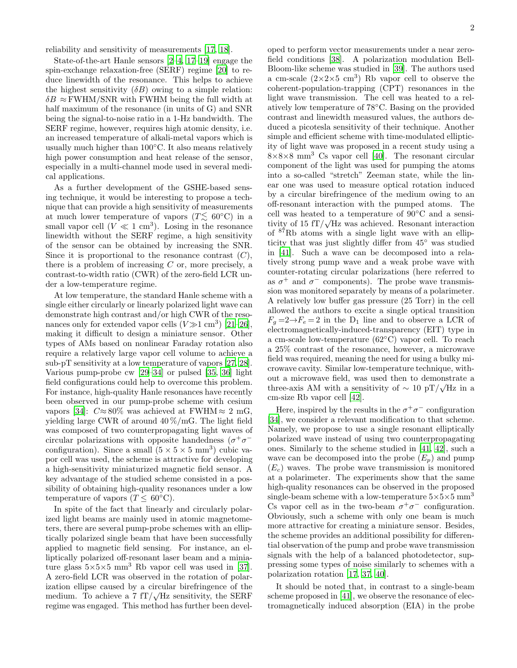reliability and sensitivity of measurements [\[17,](#page-15-1) [18](#page-15-2)].

State-of-the-art Hanle sensors [\[2](#page-14-1)[–4](#page-14-3), [17](#page-15-1)[–19](#page-15-3)] engage the spin-exchange relaxation-free (SERF) regime [\[20\]](#page-15-4) to reduce linewidth of the resonance. This helps to achieve the highest sensitivity  $(\delta B)$  owing to a simple relation:  $\delta B \approx$  FWHM/SNR with FWHM being the full width at half maximum of the resonance (in units of G) and SNR being the signal-to-noise ratio in a 1-Hz bandwidth. The SERF regime, however, requires high atomic density, i.e. an increased temperature of alkali-metal vapors which is usually much higher than 100◦C. It also means relatively high power consumption and heat release of the sensor, especially in a multi-channel mode used in several medical applications.

As a further development of the GSHE-based sensing technique, it would be interesting to propose a technique that can provide a high sensitivity of measurements at much lower temperature of vapors ( $T \lesssim 60°\text{C}$ ) in a small vapor cell  $(V \ll 1 \text{ cm}^3)$ . Losing in the resonance linewidth without the SERF regime, a high sensitivity of the sensor can be obtained by increasing the SNR. Since it is proportional to the resonance contrast  $(C)$ , there is a problem of increasing  $C$  or, more precisely, a contrast-to-width ratio (CWR) of the zero-field LCR under a low-temperature regime.

At low temperature, the standard Hanle scheme with a single either circularly or linearly polarized light wave can demonstrate high contrast and/or high CWR of the resonances only for extended vapor cells  $(V \gg 1 \text{ cm}^3)$  [\[21](#page-15-5)[–26\]](#page-15-6), making it difficult to design a miniature sensor. Other types of AMs based on nonlinear Faraday rotation also require a relatively large vapor cell volume to achieve a sub-pT sensitivity at a low temperature of vapors [\[27,](#page-15-7) [28\]](#page-15-8). Various pump-probe cw [\[29](#page-15-9)[–34](#page-15-10)] or pulsed [\[35,](#page-15-11) [36\]](#page-15-12) light field configurations could help to overcome this problem. For instance, high-quality Hanle resonances have recently been observed in our pump-probe scheme with cesium vapors [\[34](#page-15-10)]:  $C \approx 80\%$  was achieved at FWHM  $\approx 2 \text{ mG}$ , yielding large CWR of around 40 %/mG. The light field was composed of two counterpropagating light waves of circular polarizations with opposite handedness  $(\sigma^+\sigma^-)$ configuration). Since a small  $(5 \times 5 \times 5 \text{ mm}^3)$  cubic vapor cell was used, the scheme is attractive for developing a high-sensitivity miniaturized magnetic field sensor. A key advantage of the studied scheme consisted in a possibility of obtaining high-quality resonances under a low temperature of vapors ( $T \leq 60^{\circ}$ C).

In spite of the fact that linearly and circularly polarized light beams are mainly used in atomic magnetometers, there are several pump-probe schemes with an elliptically polarized single beam that have been successfully applied to magnetic field sensing. For instance, an elliptically polarized off-resonant laser beam and a miniature glass  $5\times5\times5$  mm<sup>3</sup> Rb vapor cell was used in [\[37\]](#page-15-13). A zero-field LCR was observed in the rotation of polarization ellipse caused by a circular birefringence of the medium. To achieve a 7  $fT/\sqrt{Hz}$  sensitivity, the SERF regime was engaged. This method has further been developed to perform vector measurements under a near zerofield conditions [\[38\]](#page-15-14). A polarization modulation Bell-Bloom-like scheme was studied in [\[39](#page-15-15)]. The authors used a cm-scale  $(2\times2\times5~\mathrm{cm}^3)$  Rb vapor cell to observe the coherent-population-trapping (CPT) resonances in the light wave transmission. The cell was heated to a relatively low temperature of 78◦C. Basing on the provided contrast and linewidth measured values, the authors deduced a picotesla sensitivity of their technique. Another simple and efficient scheme with time-modulated ellipticity of light wave was proposed in a recent study using a  $8\times8\times8$  mm<sup>3</sup> Cs vapor cell [\[40](#page-15-16)]. The resonant circular component of the light was used for pumping the atoms into a so-called "stretch" Zeeman state, while the linear one was used to measure optical rotation induced by a circular birefringence of the medium owing to an off-resonant interaction with the pumped atoms. The cell was heated to a temperature of 90◦C and a sensitivity of 15  $fT/\sqrt{Hz}$  was achieved. Resonant interaction of <sup>87</sup>Rb atoms with a single light wave with an ellipticity that was just slightly differ from 45◦ was studied in [\[41\]](#page-15-17). Such a wave can be decomposed into a relatively strong pump wave and a weak probe wave with counter-rotating circular polarizations (here referred to as  $\sigma^+$  and  $\sigma^-$  components). The probe wave transmission was monitored separately by means of a polarimeter. A relatively low buffer gas pressure (25 Torr) in the cell allowed the authors to excite a single optical transition  $F_q = 2 \rightarrow F_e = 2$  in the D<sub>1</sub> line and to observe a LCR of electromagnetically-induced-transparency (EIT) type in a cm-scale low-temperature (62◦C) vapor cell. To reach a 25% contrast of the resonance, however, a microwave field was required, meaning the need for using a bulky microwave cavity. Similar low-temperature technique, without a microwave field, was used then to demonstrate a three-axis AM with a sensitivity of  $\sim 10 \text{ pT}/\sqrt{\text{Hz}}$  in a cm-size Rb vapor cell [\[42](#page-15-18)].

Here, inspired by the results in the  $\sigma^+\sigma^-$  configuration [\[34\]](#page-15-10), we consider a relevant modification to that scheme. Namely, we propose to use a single resonant elliptically polarized wave instead of using two counterpropagating ones. Similarly to the scheme studied in [\[41](#page-15-17), [42\]](#page-15-18), such a wave can be decomposed into the probe  $(E_p)$  and pump  $(E_c)$  waves. The probe wave transmission is monitored at a polarimeter. The experiments show that the same high-quality resonances can be observed in the proposed single-beam scheme with a low-temperature  $5\times5\times5$  mm<sup>3</sup> Cs vapor cell as in the two-beam  $\sigma^+\sigma^-$  configuration. Obviously, such a scheme with only one beam is much more attractive for creating a miniature sensor. Besides, the scheme provides an additional possibility for differential observation of the pump and probe wave transmission signals with the help of a balanced photodetector, suppressing some types of noise similarly to schemes with a polarization rotation [\[17](#page-15-1), [37](#page-15-13), [40](#page-15-16)].

It should be noted that, in contrast to a single-beam scheme proposed in [\[41](#page-15-17)], we observe the resonance of electromagnetically induced absorption (EIA) in the probe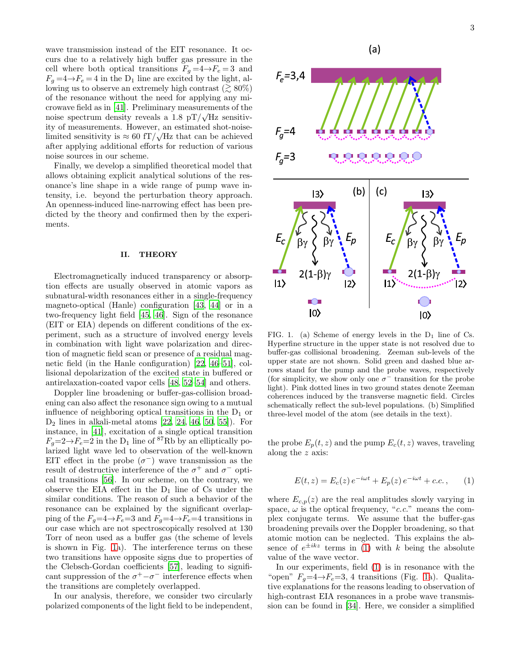wave transmission instead of the EIT resonance. It occurs due to a relatively high buffer gas pressure in the cell where both optical transitions  $F_g = 4 \rightarrow F_e = 3$  and  $F_q = 4 \rightarrow F_e = 4$  in the D<sub>1</sub> line are excited by the light, allowing us to observe an extremely high contrast ( $\gtrsim 80\%$ ) of the resonance without the need for applying any microwave field as in [\[41\]](#page-15-17). Preliminary measurements of the noise spectrum density reveals a  $1.8 \text{ pT}/\sqrt{\text{Hz}}$  sensitivity of measurements. However, an estimated shot-noiselimited sensitivity is  $\approx 60 \text{ fT}/\sqrt{\text{Hz}}$  that can be achieved after applying additional efforts for reduction of various noise sources in our scheme.

Finally, we develop a simplified theoretical model that allows obtaining explicit analytical solutions of the resonance's line shape in a wide range of pump wave intensity, i.e. beyond the perturbation theory approach. An openness-induced line-narrowing effect has been predicted by the theory and confirmed then by the experiments.

### <span id="page-2-2"></span>II. THEORY

Electromagnetically induced transparency or absorption effects are usually observed in atomic vapors as subnatural-width resonances either in a single-frequency magneto-optical (Hanle) configuration [\[43,](#page-15-19) [44](#page-15-20)] or in a two-frequency light field [\[45,](#page-15-21) [46](#page-15-22)]. Sign of the resonance (EIT or EIA) depends on different conditions of the experiment, such as a structure of involved energy levels in combination with light wave polarization and direction of magnetic field scan or presence of a residual magnetic field (in the Hanle configuration) [\[22](#page-15-23), [46](#page-15-22)[–51\]](#page-16-0), collisional depolarization of the excited state in buffered or antirelaxation-coated vapor cells [\[48](#page-15-24), [52](#page-16-1)[–54\]](#page-16-2) and others.

Doppler line broadening or buffer-gas-collision broadening can also affect the resonance sign owing to a mutual influence of neighboring optical transitions in the  $D_1$  or  $D_2$  lines in alkali-metal atoms  $[22, 24, 46, 50, 55]$  $[22, 24, 46, 50, 55]$  $[22, 24, 46, 50, 55]$  $[22, 24, 46, 50, 55]$  $[22, 24, 46, 50, 55]$  $[22, 24, 46, 50, 55]$  $[22, 24, 46, 50, 55]$ . For instance, in [\[41](#page-15-17)], excitation of a single optical transition  $F_q=2\rightarrow F_e=2$  in the D<sub>1</sub> line of <sup>87</sup>Rb by an elliptically polarized light wave led to observation of the well-known EIT effect in the probe  $(\sigma^-)$  wave transmission as the result of destructive interference of the  $\sigma^+$  and  $\sigma^-$  optical transitions [\[56\]](#page-16-5). In our scheme, on the contrary, we observe the EIA effect in the  $D_1$  line of Cs under the similar conditions. The reason of such a behavior of the resonance can be explained by the significant overlapping of the  $F_q=4\rightarrow F_e=3$  and  $F_q=4\rightarrow F_e=4$  transitions in our case which are not spectroscopically resolved at 130 Torr of neon used as a buffer gas (the scheme of levels is shown in Fig. [1a](#page-2-0)). The interference terms on these two transitions have opposite signs due to properties of the Clebsch-Gordan coefficients [\[57\]](#page-16-6), leading to significant suppression of the  $\sigma^+ - \sigma^-$  interference effects when the transitions are completely overlapped.

In our analysis, therefore, we consider two circularly polarized components of the light field to be independent,



<span id="page-2-0"></span>FIG. 1. (a) Scheme of energy levels in the  $D_1$  line of Cs. Hyperfine structure in the upper state is not resolved due to buffer-gas collisional broadening. Zeeman sub-levels of the upper state are not shown. Solid green and dashed blue arrows stand for the pump and the probe waves, respectively (for simplicity, we show only one  $\sigma^-$  transition for the probe light). Pink dotted lines in two ground states denote Zeeman coherences induced by the transverse magnetic field. Circles schematically reflect the sub-level populations. (b) Simplified three-level model of the atom (see details in the text).

the probe  $E_p(t, z)$  and the pump  $E_c(t, z)$  waves, traveling along the z axis:

<span id="page-2-1"></span>
$$
E(t, z) = E_c(z) e^{-i\omega t} + E_p(z) e^{-i\omega t} + c.c., \qquad (1)
$$

where  $E_{c,p}(z)$  are the real amplitudes slowly varying in space,  $\omega$  is the optical frequency, "*c.c.*" means the complex conjugate terms. We assume that the buffer-gas broadening prevails over the Doppler broadening, so that atomic motion can be neglected. This explains the absence of  $e^{\pm ikz}$  terms in [\(1\)](#page-2-1) with k being the absolute value of the wave vector.

In our experiments, field [\(1\)](#page-2-1) is in resonance with the "open"  $F<sub>g</sub>=4\rightarrow F<sub>e</sub>=3$ , 4 transitions (Fig. [1a](#page-2-0)). Qualitative explanations for the reasons leading to observation of high-contrast EIA resonances in a probe wave transmission can be found in [\[34](#page-15-10)]. Here, we consider a simplified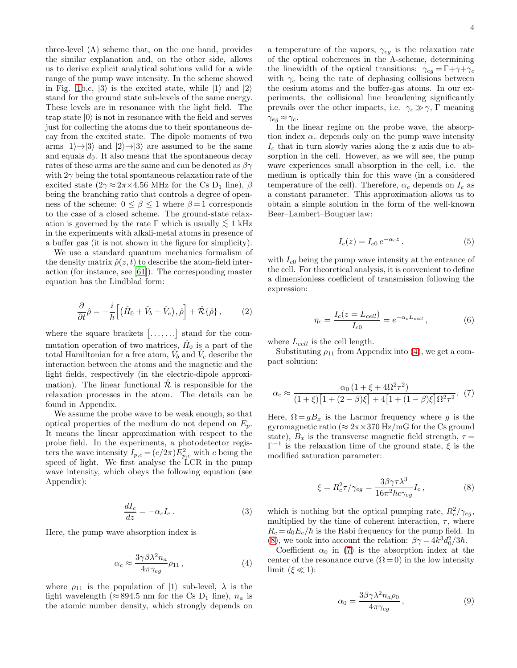three-level  $(\Lambda)$  scheme that, on the one hand, provides the similar explanation and, on the other side, allows us to derive explicit analytical solutions valid for a wide range of the pump wave intensity. In the scheme showed in Fig. [1b](#page-2-0),c,  $|3\rangle$  is the excited state, while  $|1\rangle$  and  $|2\rangle$ stand for the ground state sub-levels of the same energy. These levels are in resonance with the light field. The trap state  $|0\rangle$  is not in resonance with the field and serves just for collecting the atoms due to their spontaneous decay from the excited state. The dipole moments of two arms  $|1\rangle \rightarrow |3\rangle$  and  $|2\rangle \rightarrow |3\rangle$  are assumed to be the same and equals  $d_0$ . It also means that the spontaneous decay rates of these arms are the same and can be denoted as  $\beta\gamma$ with  $2\gamma$  being the total spontaneous relaxation rate of the excited state ( $2\gamma \approx 2\pi \times 4.56$  MHz for the Cs D<sub>1</sub> line),  $\beta$ being the branching ratio that controls a degree of openness of the scheme:  $0 \le \beta \le 1$  where  $\beta = 1$  corresponds to the case of a closed scheme. The ground-state relaxation is governed by the rate  $\Gamma$  which is usually  $\lesssim 1$  kHz in the experiments with alkali-metal atoms in presence of a buffer gas (it is not shown in the figure for simplicity).

We use a standard quantum mechanics formalism of the density matrix  $\hat{\rho}(z,t)$  to describe the atom-field interaction (for instance, see [\[61](#page-16-7)]). The corresponding master equation has the Lindblad form:

<span id="page-3-5"></span>
$$
\frac{\partial}{\partial t}\hat{\rho} = -\frac{i}{\hbar} \Big[ \big(\hat{H}_0 + \hat{V}_b + \hat{V}_e\big), \hat{\rho} \Big] + \hat{\mathcal{R}} \{\hat{\rho}\},\qquad(2)
$$

where the square brackets  $[\ldots, \ldots]$  stand for the commutation operation of two matrices,  $\hat{H}_0$  is a part of the total Hamiltonian for a free atom,  $\hat{V}_b$  and  $\hat{V}_e$  describe the interaction between the atoms and the magnetic and the light fields, respectively (in the electric-dipole approximation). The linear functional  $\mathcal R$  is responsible for the relaxation processes in the atom. The details can be found in Appendix.

We assume the probe wave to be weak enough, so that optical properties of the medium do not depend on  $E_p$ . It means the linear approximation with respect to the probe field. In the experiments, a photodetector registers the wave intensity  $I_{p,c} = (c/2\pi)E_{p,c}^2$  with c being the speed of light. We first analyse the LCR in the pump wave intensity, which obeys the following equation (see Appendix):

<span id="page-3-3"></span>
$$
\frac{dI_c}{dz} = -\alpha_c I_c \,. \tag{3}
$$

Here, the pump wave absorption index is

<span id="page-3-0"></span>
$$
\alpha_c \approx \frac{3 \gamma \beta \lambda^2 n_a}{4 \pi \gamma_{eg}} \rho_{11} \,, \eqno{(4)}
$$

where  $\rho_{11}$  is the population of  $|1\rangle$  sub-level,  $\lambda$  is the light wavelength (≈ 894.5 nm for the Cs D<sub>1</sub> line),  $n_a$  is the atomic number density, which strongly depends on

a temperature of the vapors,  $\gamma_{eg}$  is the relaxation rate of the optical coherences in the  $\Lambda$ -scheme, determining the linewidth of the optical transitions:  $\gamma_{eg} = \Gamma + \gamma + \gamma_c$ with  $\gamma_c$  being the rate of dephasing collisions between the cesium atoms and the buffer-gas atoms. In our experiments, the collisional line broadening significantly prevails over the other impacts, i.e.  $\gamma_c \gg \gamma$ , Γ meaning  $\gamma_{eg} \approx \gamma_c.$ 

In the linear regime on the probe wave, the absorption index  $\alpha_c$  depends only on the pump wave intensity  $I_c$  that in turn slowly varies along the z axis due to absorption in the cell. However, as we will see, the pump wave experiences small absorption in the cell, i.e. the medium is optically thin for this wave (in a considered temperature of the cell). Therefore,  $\alpha_c$  depends on  $I_c$  as a constant parameter. This approximation allows us to obtain a simple solution in the form of the well-known Beer–Lambert–Bouguer law:

$$
I_c(z) = I_{c0} e^{-\alpha_c z} . \tag{5}
$$

with  $I_{c0}$  being the pump wave intensity at the entrance of the cell. For theoretical analysis, it is convenient to define a dimensionless coefficient of transmission following the expression:

<span id="page-3-4"></span>
$$
\eta_c = \frac{I_c(z = L_{cell})}{I_{c0}} = e^{-\alpha_c L_{cell}}, \qquad (6)
$$

where  $L_{cell}$  is the cell length.

Substituting  $\rho_{11}$  from Appendix into [\(4\)](#page-3-0), we get a compact solution:

<span id="page-3-2"></span>
$$
\alpha_c \approx \frac{\alpha_0 (1 + \xi + 4\Omega^2 \tau^2)}{(1 + \xi) [1 + (2 - \beta)\xi] + 4 [1 + (1 - \beta)\xi] \Omega^2 \tau^2}.
$$
 (7)

Here,  $\Omega = gB_x$  is the Larmor frequency where g is the gyromagnetic ratio ( $\approx 2\pi \times 370$  Hz/mG for the Cs ground state),  $B_x$  is the transverse magnetic field strength,  $\tau =$  $\Gamma^{-1}$  is the relaxation time of the ground state,  $\xi$  is the modified saturation parameter:

<span id="page-3-1"></span>
$$
\xi = R_c^2 \tau / \gamma_{eg} = \frac{3\beta\gamma\tau\lambda^3}{16\pi^2\hbar c \gamma_{eg}} I_c , \qquad (8)
$$

which is nothing but the optical pumping rate,  $R_c^2/\gamma_{eg}$ , multiplied by the time of coherent interaction,  $\tau$ , where  $R_c = d_0 E_c / \hbar$  is the Rabi frequency for the pump field. In [\(8\)](#page-3-1), we took into account the relation:  $\beta \gamma = 4k^3 d_0^2/3\hbar$ .

Coefficient  $\alpha_0$  in [\(7\)](#page-3-2) is the absorption index at the center of the resonance curve  $(\Omega = 0)$  in the low intensity limit  $({\xi \ll 1})$ :

$$
\alpha_0 = \frac{3\beta\gamma\lambda^2 n_a \rho_0}{4\pi\gamma_{eg}},\qquad(9)
$$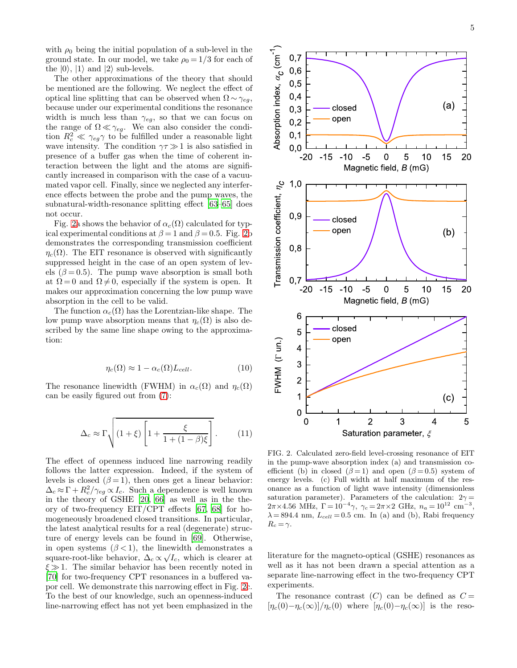The other approximations of the theory that should be mentioned are the following. We neglect the effect of optical line splitting that can be observed when  $\Omega \sim \gamma_{eg}$ , because under our experimental conditions the resonance width is much less than  $\gamma_{eg}$ , so that we can focus on the range of  $\Omega \ll \gamma_{eg}$ . We can also consider the condition  $R_c^2 \ll \gamma_{eg} \gamma$  to be fulfilled under a reasonable light wave intensity. The condition  $\gamma \tau \gg 1$  is also satisfied in presence of a buffer gas when the time of coherent interaction between the light and the atoms are significantly increased in comparison with the case of a vacuumated vapor cell. Finally, since we neglected any interference effects between the probe and the pump waves, the subnatural-width-resonance splitting effect [\[63](#page-16-8)[–65](#page-16-9)] does not occur.

Fig. [2a](#page-4-0) shows the behavior of  $\alpha_c(\Omega)$  calculated for typical experimental conditions at  $\beta = 1$  and  $\beta = 0.5$ . Fig. [2b](#page-4-0) demonstrates the corresponding transmission coefficient  $\eta_c(\Omega)$ . The EIT resonance is observed with significantly suppressed height in the case of an open system of levels ( $\beta = 0.5$ ). The pump wave absorption is small both at  $\Omega = 0$  and  $\Omega \neq 0$ , especially if the system is open. It makes our approximation concerning the low pump wave absorption in the cell to be valid.

The function  $\alpha_c(\Omega)$  has the Lorentzian-like shape. The low pump wave absorption means that  $\eta_c(\Omega)$  is also described by the same line shape owing to the approximation:

<span id="page-4-2"></span>
$$
\eta_c(\Omega) \approx 1 - \alpha_c(\Omega) L_{cell}.\tag{10}
$$

The resonance linewidth (FWHM) in  $\alpha_c(\Omega)$  and  $\eta_c(\Omega)$ can be easily figured out from [\(7\)](#page-3-2):

<span id="page-4-1"></span>
$$
\Delta_c \approx \Gamma \sqrt{(1+\xi) \left[1 + \frac{\xi}{1 + (1-\beta)\xi}\right]}.
$$
 (11)

The effect of openness induced line narrowing readily follows the latter expression. Indeed, if the system of levels is closed  $(\beta = 1)$ , then ones get a linear behavior:  $\Delta_c \approx \Gamma + R_c^2 / \gamma_{eg} \propto I_c$ . Such a dependence is well known in the theory of GSHE [\[20](#page-15-4), [66\]](#page-16-10) as well as in the theory of two-frequency EIT/CPT effects [\[67,](#page-16-11) [68](#page-16-12)] for homogeneously broadened closed transitions. In particular, the latest analytical results for a real (degenerate) structure of energy levels can be found in [\[69\]](#page-16-13). Otherwise, in open systems  $(\beta < 1)$ , the linewidth demonstrates a square-root-like behavior,  $\Delta_c \propto \sqrt{I_c}$ , which is clearer at  $\xi \gg 1$ . The similar behavior has been recently noted in [\[70\]](#page-16-14) for two-frequency CPT resonances in a buffered vapor cell. We demonstrate this narrowing effect in Fig. [2c](#page-4-0). To the best of our knowledge, such an openness-induced line-narrowing effect has not yet been emphasized in the



<span id="page-4-0"></span>FIG. 2. Calculated zero-field level-crossing resonance of EIT in the pump-wave absorption index (a) and transmission coefficient (b) in closed ( $\beta = 1$ ) and open ( $\beta = 0.5$ ) system of energy levels. (c) Full width at half maximum of the resonance as a function of light wave intensity (dimensionless saturation parameter). Parameters of the calculation:  $2\gamma =$  $2\pi \times 4.56$  MHz,  $\Gamma = 10^{-4} \gamma$ ,  $\gamma_c = 2\pi \times 2$  GHz,  $n_a = 10^{12}$  cm<sup>-3</sup>,  $\lambda = 894.4$  nm,  $L_{cell} = 0.5$  cm. In (a) and (b), Rabi frequency  $R_c = \gamma$ .

literature for the magneto-optical (GSHE) resonances as well as it has not been drawn a special attention as a separate line-narrowing effect in the two-frequency CPT experiments.

The resonance contrast  $(C)$  can be defined as  $C =$  $[\eta_c(0)-\eta_c(\infty)]/\eta_c(0)$  where  $[\eta_c(0)-\eta_c(\infty)]$  is the reso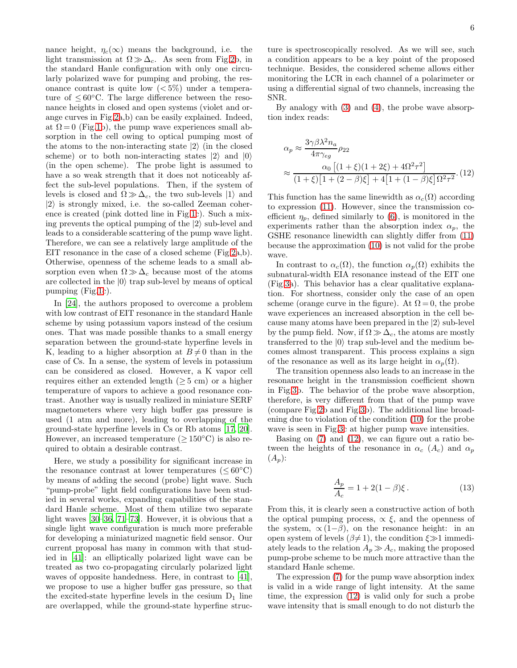nance height,  $\eta_c(\infty)$  means the background, i.e. the light transmission at  $\Omega \gg \Delta_c$ . As seen from Fig[.2b](#page-4-0), in the standard Hanle configuration with only one circularly polarized wave for pumping and probing, the resonance contrast is quite low  $(< 5\%)$  under a temperature of  $\leq 60^{\circ}$ C. The large difference between the resonance heights in closed and open systems (violet and orange curves in Fig[.2a](#page-4-0),b) can be easily explained. Indeed, at  $\Omega = 0$  (Fig[.1b](#page-2-0)), the pump wave experiences small absorption in the cell owing to optical pumping most of the atoms to the non-interacting state  $|2\rangle$  (in the closed scheme) or to both non-interacting states  $|2\rangle$  and  $|0\rangle$ (in the open scheme). The probe light is assumed to have a so weak strength that it does not noticeably affect the sub-level populations. Then, if the system of levels is closed and  $\Omega \gg \Delta_c$ , the two sub-levels  $|1\rangle$  and  $|2\rangle$  is strongly mixed, i.e. the so-called Zeeman coherence is created (pink dotted line in Fig[.1c](#page-2-0)). Such a mixing prevents the optical pumping of the  $|2\rangle$  sub-level and leads to a considerable scattering of the pump wave light. Therefore, we can see a relatively large amplitude of the EIT resonance in the case of a closed scheme (Fig[.2a](#page-4-0),b). Otherwise, openness of the scheme leads to a small absorption even when  $\Omega \gg \Delta_c$  because most of the atoms are collected in the  $|0\rangle$  trap sub-level by means of optical pumping (Fig[.1c](#page-2-0)).

In [\[24\]](#page-15-25), the authors proposed to overcome a problem with low contrast of EIT resonance in the standard Hanle scheme by using potassium vapors instead of the cesium ones. That was made possible thanks to a small energy separation between the ground-state hyperfine levels in K, leading to a higher absorption at  $B\neq 0$  than in the case of Cs. In a sense, the system of levels in potassium can be considered as closed. However, a K vapor cell requires either an extended length ( $\geq$  5 cm) or a higher temperature of vapors to achieve a good resonance contrast. Another way is usually realized in miniature SERF magnetometers where very high buffer gas pressure is used (1 atm and more), leading to overlapping of the ground-state hyperfine levels in Cs or Rb atoms [\[17,](#page-15-1) [20\]](#page-15-4). However, an increased temperature  $(>150^{\circ}C)$  is also required to obtain a desirable contrast.

Here, we study a possibility for significant increase in the resonance contrast at lower temperatures ( $\leq 60^{\circ}$ C) by means of adding the second (probe) light wave. Such "pump-probe" light field configurations have been studied in several works, expanding capabilities of the standard Hanle scheme. Most of them utilize two separate light waves [\[30](#page-15-26)[–36,](#page-15-12) [71](#page-16-15)[–73\]](#page-16-16). However, it is obvious that a single light wave configuration is much more preferable for developing a miniaturized magnetic field sensor. Our current proposal has many in common with that studied in [\[41](#page-15-17)]: an elliptically polarized light wave can be treated as two co-propagating circularly polarized light waves of opposite handedness. Here, in contrast to [\[41\]](#page-15-17), we propose to use a higher buffer gas pressure, so that the excited-state hyperfine levels in the cesium  $D_1$  line are overlapped, while the ground-state hyperfine struc-

ture is spectroscopically resolved. As we will see, such a condition appears to be a key point of the proposed technique. Besides, the considered scheme allows either monitoring the LCR in each channel of a polarimeter or using a differential signal of two channels, increasing the SNR.

By analogy with [\(3\)](#page-3-3) and [\(4\)](#page-3-0), the probe wave absorption index reads:

<span id="page-5-0"></span>
$$
\alpha_p \approx \frac{3\gamma\beta\lambda^2 n_a}{4\pi\gamma_{eg}} \rho_{22}
$$
  

$$
\approx \frac{\alpha_0 \left[ (1+\xi)(1+2\xi) + 4\Omega^2 \tau^2 \right]}{(1+\xi)\left[1+(2-\beta)\xi\right] + 4\left[1+(1-\beta)\xi\right]\Omega^2 \tau^2}.
$$
(12)

This function has the same linewidth as  $\alpha_c(\Omega)$  according to expression [\(11\)](#page-4-1). However, since the transmission coefficient  $\eta_p$ , defined similarly to [\(6\)](#page-3-4), is monitored in the experiments rather than the absorption index  $\alpha_p$ , the GSHE resonance linewidth can slightly differ from [\(11\)](#page-4-1) because the approximation [\(10\)](#page-4-2) is not valid for the probe wave.

In contrast to  $\alpha_c(\Omega)$ , the function  $\alpha_p(\Omega)$  exhibits the subnatural-width EIA resonance instead of the EIT one (Fig[.3a](#page-6-0)). This behavior has a clear qualitative explanation. For shortness, consider only the case of an open scheme (orange curve in the figure). At  $\Omega = 0$ , the probe wave experiences an increased absorption in the cell because many atoms have been prepared in the  $|2\rangle$  sub-level by the pump field. Now, if  $\Omega \gg \Delta_c$ , the atoms are mostly transferred to the  $|0\rangle$  trap sub-level and the medium becomes almost transparent. This process explains a sign of the resonance as well as its large height in  $\alpha_p(\Omega)$ .

The transition openness also leads to an increase in the resonance height in the transmission coefficient shown in Fig[.3b](#page-6-0). The behavior of the probe wave absorption, therefore, is very different from that of the pump wave (compare Fig[.2b](#page-4-0) and Fig[.3b](#page-6-0)). The additional line broadening due to violation of the condition [\(10\)](#page-4-2) for the probe wave is seen in Fig[.3c](#page-6-0) at higher pump wave intensities.

Basing on  $(7)$  and  $(12)$ , we can figure out a ratio between the heights of the resonance in  $\alpha_c$  (A<sub>c</sub>) and  $\alpha_p$  $(A_p)$ :

$$
\frac{A_p}{A_c} = 1 + 2(1 - \beta)\xi.
$$
 (13)

From this, it is clearly seen a constructive action of both the optical pumping process,  $\propto \xi$ , and the openness of the system,  $\alpha(1-\beta)$ , on the resonance height: in an open system of levels  $(\beta \neq 1)$ , the condition  $\xi \gg 1$  immediately leads to the relation  $A_p \gg A_c$ , making the proposed pump-probe scheme to be much more attractive than the standard Hanle scheme.

The expression [\(7\)](#page-3-2) for the pump wave absorption index is valid in a wide range of light intensity. At the same time, the expression [\(12\)](#page-5-0) is valid only for such a probe wave intensity that is small enough to do not disturb the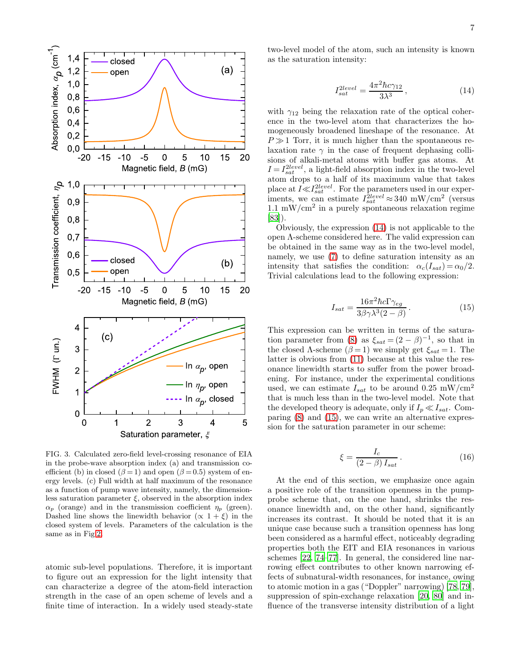

<span id="page-6-0"></span>FIG. 3. Calculated zero-field level-crossing resonance of EIA in the probe-wave absorption index (a) and transmission coefficient (b) in closed ( $\beta = 1$ ) and open ( $\beta = 0.5$ ) system of energy levels. (c) Full width at half maximum of the resonance as a function of pump wave intensity, namely, the dimensionless saturation parameter  $\xi$ , observed in the absorption index  $\alpha_p$  (orange) and in the transmission coefficient  $\eta_p$  (green). Dashed line shows the linewidth behavior  $(\propto 1 + \xi)$  in the closed system of levels. Parameters of the calculation is the same as in Fig[.2.](#page-4-0)

atomic sub-level populations. Therefore, it is important to figure out an expression for the light intensity that can characterize a degree of the atom-field interaction strength in the case of an open scheme of levels and a finite time of interaction. In a widely used steady-state

two-level model of the atom, such an intensity is known as the saturation intensity:

<span id="page-6-1"></span>
$$
I_{sat}^{2level} = \frac{4\pi^2\hbar c \gamma_{12}}{3\lambda^3} \,, \tag{14}
$$

with  $\gamma_{12}$  being the relaxation rate of the optical coherence in the two-level atom that characterizes the homogeneously broadened lineshape of the resonance. At  $P \gg 1$  Torr, it is much higher than the spontaneous relaxation rate  $\gamma$  in the case of frequent dephasing collisions of alkali-metal atoms with buffer gas atoms. At  $I = I_{sat}^{2level}$ , a light-field absorption index in the two-level atom drops to a half of its maximum value that takes place at  $I \ll I_{sat}^{2level}$ . For the parameters used in our experiments, we can estimate  $I_{sat}^{2level} \approx 340 \text{ mW/cm}^2$  (versus  $1.1 \text{ mW/cm}^2$  in a purely spontaneous relaxation regime [\[83\]](#page-17-0)).

Obviously, the expression [\(14\)](#page-6-1) is not applicable to the open Λ-scheme considered here. The valid expression can be obtained in the same way as in the two-level model, namely, we use [\(7\)](#page-3-2) to define saturation intensity as an intensity that satisfies the condition:  $\alpha_c(I_{sat}) = \alpha_0/2$ . Trivial calculations lead to the following expression:

<span id="page-6-2"></span>
$$
I_{sat} = \frac{16\pi^2\hbar c\Gamma\gamma_{eg}}{3\beta\gamma\lambda^3(2-\beta)}.
$$
 (15)

This expression can be written in terms of the satura-tion parameter from [\(8\)](#page-3-1) as  $\xi_{sat} = (2 - \beta)^{-1}$ , so that in the closed A-scheme  $(\beta = 1)$  we simply get  $\xi_{sat} = 1$ . The latter is obvious from [\(11\)](#page-4-1) because at this value the resonance linewidth starts to suffer from the power broadening. For instance, under the experimental conditions used, we can estimate  $I_{sat}$  to be around 0.25 mW/cm<sup>2</sup> that is much less than in the two-level model. Note that the developed theory is adequate, only if  $I_p \ll I_{sat}$ . Comparing [\(8\)](#page-3-1) and [\(15\)](#page-6-2), we can write an alternative expression for the saturation parameter in our scheme:

$$
\xi = \frac{I_c}{(2 - \beta) I_{sat}}.
$$
\n(16)

At the end of this section, we emphasize once again a positive role of the transition openness in the pumpprobe scheme that, on the one hand, shrinks the resonance linewidth and, on the other hand, significantly increases its contrast. It should be noted that it is an unique case because such a transition openness has long been considered as a harmful effect, noticeably degrading properties both the EIT and EIA resonances in various schemes [\[22,](#page-15-23) [74](#page-16-17)[–77\]](#page-16-18). In general, the considered line narrowing effect contributes to other known narrowing effects of subnatural-width resonances, for instance, owing to atomic motion in a gas ("Doppler" narrowing) [\[78](#page-16-19), [79\]](#page-16-20), suppression of spin-exchange relaxation [\[20](#page-15-4), [80\]](#page-16-21) and influence of the transverse intensity distribution of a light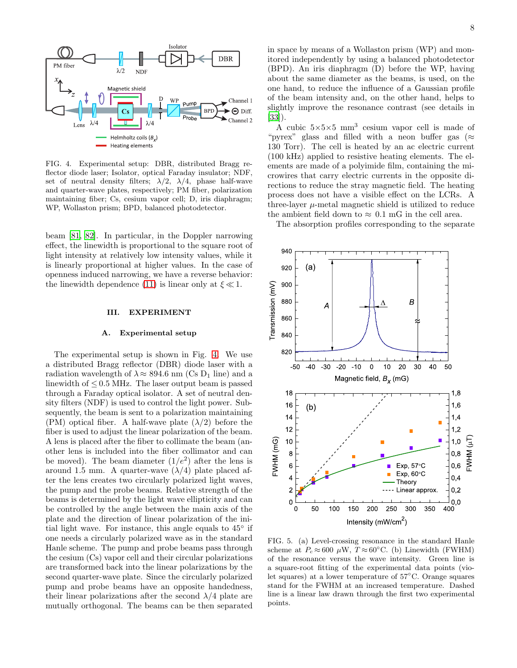

<span id="page-7-0"></span>FIG. 4. Experimental setup: DBR, distributed Bragg reflector diode laser; Isolator, optical Faraday insulator; NDF, set of neutral density filters;  $\lambda/2$ ,  $\lambda/4$ , phase half-wave and quarter-wave plates, respectively; PM fiber, polarization maintaining fiber; Cs, cesium vapor cell; D, iris diaphragm; WP, Wollaston prism; BPD, balanced photodetector.

beam [\[81](#page-16-22), [82](#page-17-1)]. In particular, in the Doppler narrowing effect, the linewidth is proportional to the square root of light intensity at relatively low intensity values, while it is linearly proportional at higher values. In the case of openness induced narrowing, we have a reverse behavior: the linewidth dependence [\(11\)](#page-4-1) is linear only at  $\xi \ll 1$ .

### III. EXPERIMENT

#### A. Experimental setup

The experimental setup is shown in Fig. [4.](#page-7-0) We use a distributed Bragg reflector (DBR) diode laser with a radiation wavelength of  $\lambda \approx 894.6$  nm (Cs D<sub>1</sub> line) and a linewidth of  $\leq 0.5$  MHz. The laser output beam is passed through a Faraday optical isolator. A set of neutral density filters (NDF) is used to control the light power. Subsequently, the beam is sent to a polarization maintaining (PM) optical fiber. A half-wave plate  $(\lambda/2)$  before the fiber is used to adjust the linear polarization of the beam. A lens is placed after the fiber to collimate the beam (another lens is included into the fiber collimator and can be moved). The beam diameter  $(1/e^2)$  after the lens is around 1.5 mm. A quarter-wave  $(\lambda/4)$  plate placed after the lens creates two circularly polarized light waves, the pump and the probe beams. Relative strength of the beams is determined by the light wave ellipticity and can be controlled by the angle between the main axis of the plate and the direction of linear polarization of the initial light wave. For instance, this angle equals to  $45^{\circ}$  if one needs a circularly polarized wave as in the standard Hanle scheme. The pump and probe beams pass through the cesium (Cs) vapor cell and their circular polarizations are transformed back into the linear polarizations by the second quarter-wave plate. Since the circularly polarized pump and probe beams have an opposite handedness, their linear polarizations after the second  $\lambda/4$  plate are mutually orthogonal. The beams can be then separated

in space by means of a Wollaston prism (WP) and monitored independently by using a balanced photodetector (BPD). An iris diaphragm (D) before the WP, having about the same diameter as the beams, is used, on the one hand, to reduce the influence of a Gaussian profile of the beam intensity and, on the other hand, helps to slightly improve the resonance contrast (see details in [\[33\]](#page-15-27)).

A cubic  $5\times5\times5$  mm<sup>3</sup> cesium vapor cell is made of "pyrex" glass and filled with a neon buffer gas ( $\approx$ 130 Torr). The cell is heated by an ac electric current (100 kHz) applied to resistive heating elements. The elements are made of a polyimide film, containing the microwires that carry electric currents in the opposite directions to reduce the stray magnetic field. The heating process does not have a visible effect on the LCRs. A three-layer  $\mu$ -metal magnetic shield is utilized to reduce the ambient field down to  $\approx 0.1$  mG in the cell area.

The absorption profiles corresponding to the separate



<span id="page-7-1"></span>FIG. 5. (a) Level-crossing resonance in the standard Hanle scheme at  $P_c \approx 600 \mu W$ ,  $T \approx 60^{\circ}$ C. (b) Linewidth (FWHM) of the resonance versus the wave intensity. Green line is a square-root fitting of the experimental data points (violet squares) at a lower temperature of 57◦C. Orange squares stand for the FWHM at an increased temperature. Dashed line is a linear law drawn through the first two experimental points.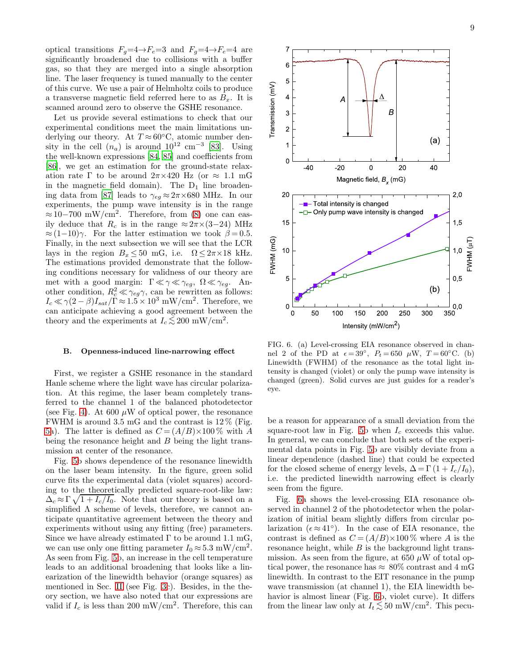optical transitions  $F_g=4\rightarrow F_e=3$  and  $F_g=4\rightarrow F_e=4$  are significantly broadened due to collisions with a buffer gas, so that they are merged into a single absorption line. The laser frequency is tuned manually to the center of this curve. We use a pair of Helmholtz coils to produce a transverse magnetic field referred here to as  $B_x$ . It is scanned around zero to observe the GSHE resonance.

Let us provide several estimations to check that our experimental conditions meet the main limitations underlying our theory. At  $T \approx 60^{\circ}$ C, atomic number density in the cell  $(n_a)$  is around  $10^{12}$  cm<sup>-3</sup> [\[83\]](#page-17-0). Using the well-known expressions [\[84](#page-17-2), [85](#page-17-3)] and coefficients from [\[86\]](#page-17-4), we get an estimation for the ground-state relaxation rate Γ to be around  $2\pi \times 420$  Hz (or  $\approx 1.1$  mG in the magnetic field domain). The  $D_1$  line broaden-ing data from [\[87](#page-17-5)] leads to  $\gamma_{eg} \approx 2\pi \times 680$  MHz. In our experiments, the pump wave intensity is in the range  $\approx 10-700$  mW/cm<sup>2</sup>. Therefore, from [\(8\)](#page-3-1) one can easily deduce that  $R_c$  is in the range  $\approx 2\pi \times (3-24)$  MHz  $\approx (1-10)\gamma$ . For the latter estimation we took  $\beta = 0.5$ . Finally, in the next subsection we will see that the LCR lays in the region  $B_x \leq 50$  mG, i.e.  $\Omega \leq 2\pi \times 18$  kHz. The estimations provided demonstrate that the following conditions necessary for validness of our theory are met with a good margin:  $\Gamma \ll \gamma \ll \gamma_{eg}$ ,  $\Omega \ll \gamma_{eg}$ . Another condition,  $R_c^2 \ll \gamma_{eg} \gamma$ , can be rewritten as follows:  $I_c \ll \gamma (2-\beta) I_{sat}/\Gamma \approx 1.5 \times 10^3 \text{ mW/cm}^2$ . Therefore, we can anticipate achieving a good agreement between the theory and the experiments at  $I_c \lesssim 200$  mW/cm<sup>2</sup>.

## B. Openness-induced line-narrowing effect

First, we register a GSHE resonance in the standard Hanle scheme where the light wave has circular polarization. At this regime, the laser beam completely transferred to the channel 1 of the balanced photodetector (see Fig. [4\)](#page-7-0). At 600  $\mu$ W of optical power, the resonance FWHM is around 3.5 mG and the contrast is 12 % (Fig. [5a](#page-7-1)). The latter is defined as  $C = (A/B) \times 100\%$  with A being the resonance height and B being the light transmission at center of the resonance.

Fig. [5b](#page-7-1) shows dependence of the resonance linewidth on the laser beam intensity. In the figure, green solid curve fits the experimental data (violet squares) according to the theoretically predicted square-root-like law:  $\Delta_c \approx \Gamma \sqrt{1 + I_c/I_0}$ . Note that our theory is based on a simplified  $\Lambda$  scheme of levels, therefore, we cannot anticipate quantitative agreement between the theory and experiments without using any fitting (free) parameters. Since we have already estimated  $\Gamma$  to be around 1.1 mG, we can use only one fitting parameter  $I_0 \approx 5.3$  mW/cm<sup>2</sup>. As seen from Fig. [5b](#page-7-1), an increase in the cell temperature leads to an additional broadening that looks like a linearization of the linewidth behavior (orange squares) as mentioned in Sec. [II](#page-2-2) (see Fig. [3c](#page-6-0)). Besides, in the theory section, we have also noted that our expressions are valid if  $I_c$  is less than 200 mW/cm<sup>2</sup>. Therefore, this can



<span id="page-8-0"></span>FIG. 6. (a) Level-crossing EIA resonance observed in channel 2 of the PD at  $\epsilon = 39^\circ$ ,  $P_t = 650 \mu$ W,  $T = 60^\circ$ C. (b) Linewidth (FWHM) of the resonance as the total light intensity is changed (violet) or only the pump wave intensity is changed (green). Solid curves are just guides for a reader's eye.

be a reason for appearance of a small deviation from the square-root law in Fig. [5b](#page-7-1) when  $I_c$  exceeds this value. In general, we can conclude that both sets of the experimental data points in Fig. [5b](#page-7-1) are visibly deviate from a linear dependence (dashed line) that could be expected for the closed scheme of energy levels,  $\Delta = \Gamma(1 + I_c/I_0)$ , i.e. the predicted linewidth narrowing effect is clearly seen from the figure.

Fig. [6a](#page-8-0) shows the level-crossing EIA resonance observed in channel 2 of the photodetector when the polarization of initial beam slightly differs from circular polarization  $(\epsilon \approx 41^{\circ})$ . In the case of EIA resonance, the contrast is defined as  $C = (A/B) \times 100\%$  where A is the resonance height, while  $B$  is the background light transmission. As seen from the figure, at 650  $\mu$ W of total optical power, the resonance has  $\approx 80\%$  contrast and 4 mG linewidth. In contrast to the EIT resonance in the pump wave transmission (at channel 1), the EIA linewidth behavior is almost linear (Fig. [6b](#page-8-0), violet curve). It differs from the linear law only at  $I_t \lesssim 50 \text{ mW/cm}^2$ . This pecu-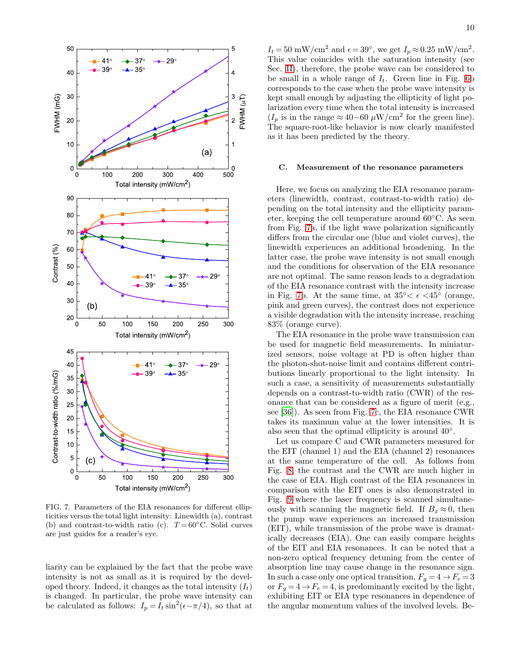

<span id="page-9-0"></span>FIG. 7. Parameters of the EIA resonances for different ellipticities versus the total light intensity: Linewidth (a), contrast (b) and contrast-to-width ratio (c).  $T = 60^{\circ}$ C. Solid curves are just guides for a reader's eye.

liarity can be explained by the fact that the probe wave intensity is not as small as it is required by the developed theory. Indeed, it changes as the total intensity  $(I_t)$ is changed. In particular, the probe wave intensity can be calculated as follows:  $I_p = I_t \sin^2(\epsilon - \pi/4)$ , so that at

 $I_t = 50 \text{ mW/cm}^2 \text{ and } \epsilon = 39^\circ, \text{ we get } I_p \approx 0.25 \text{ mW/cm}^2.$ This value coincides with the saturation intensity (see Sec. [II\)](#page-2-2), therefore, the probe wave can be considered to be small in a whole range of  $I_t$ . Green line in Fig. [6b](#page-8-0) corresponds to the case when the probe wave intensity is kept small enough by adjusting the ellipticity of light polarization every time when the total intensity is increased  $(I_p$  is in the range ≈ 40–60  $\mu$ W/cm<sup>2</sup> for the green line). The square-root-like behavior is now clearly manifested as it has been predicted by the theory.

#### C. Measurement of the resonance parameters

Here, we focus on analyzing the EIA resonance parameters (linewidth, contrast, contrast-to-width ratio) depending on the total intensity and the ellipticity parameter, keeping the cell temperature around 60◦C. As seen from Fig. [7a](#page-9-0), if the light wave polarization significantly differs from the circular one (blue and violet curves), the linewidth experiences an additional broadening. In the latter case, the probe wave intensity is not small enough and the conditions for observation of the EIA resonance are not optimal. The same reason leads to a degradation of the EIA resonance contrast with the intensity increase in Fig. [7b](#page-9-0). At the same time, at  $35^{\circ} < \epsilon < 45^{\circ}$  (orange, pink and green curves), the contrast does not experience a visible degradation with the intensity increase, reaching 83% (orange curve).

The EIA resonance in the probe wave transmission can be used for magnetic field measurements. In miniaturized sensors, noise voltage at PD is often higher than the photon-shot-noise limit and contains different contributions linearly proportional to the light intensity. In such a case, a sensitivity of measurements substantially depends on a contrast-to-width ratio (CWR) of the resonance that can be considered as a figure of merit (e.g., see [\[36\]](#page-15-12)). As seen from Fig. [7c](#page-9-0), the EIA resonance CWR takes its maximum value at the lower intensities. It is also seen that the optimal ellipticity is around  $40°$ .

Let us compare C and CWR parameters measured for the EIT (channel 1) and the EIA (channel 2) resonances at the same temperature of the cell. As follows from Fig. [8,](#page-10-0) the contrast and the CWR are much higher in the case of EIA. High contrast of the EIA resonances in comparison with the EIT ones is also demonstrated in Fig. [9](#page-10-1) where the laser frequency is scanned simultaneously with scanning the magnetic field. If  $B_x \approx 0$ , then the pump wave experiences an increased transmission (EIT), while transmission of the probe wave is dramatically decreases (EIA). One can easily compare heights of the EIT and EIA resonances. It can be noted that a non-zero optical frequency detuning from the center of absorption line may cause change in the resonance sign. In such a case only one optical transition,  $F_g = 4 \rightarrow F_e = 3$ or  $F_q = 4 \rightarrow F_e = 4$ , is predominantly excited by the light, exhibiting EIT or EIA type resonances in dependence of the angular momentum values of the involved levels. Be-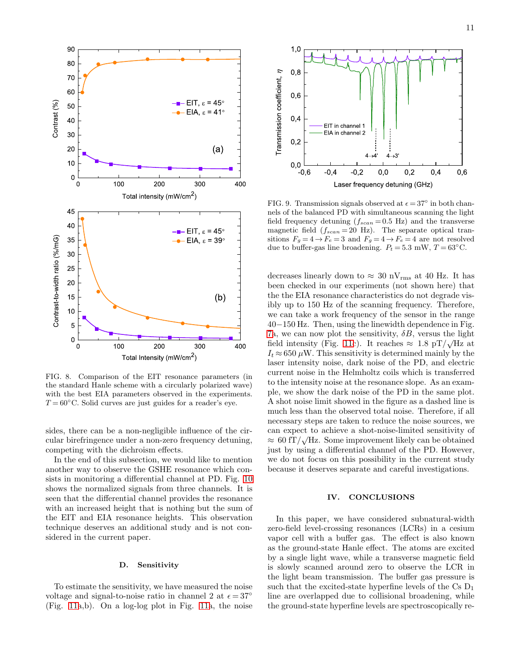



<span id="page-10-0"></span>FIG. 8. Comparison of the EIT resonance parameters (in the standard Hanle scheme with a circularly polarized wave) with the best EIA parameters observed in the experiments.  $T = 60^{\circ}$ C. Solid curves are just guides for a reader's eye.

sides, there can be a non-negligible influence of the circular birefringence under a non-zero frequency detuning, competing with the dichroism effects.

In the end of this subsection, we would like to mention another way to observe the GSHE resonance which consists in monitoring a differential channel at PD. Fig. [10](#page-11-0) shows the normalized signals from three channels. It is seen that the differential channel provides the resonance with an increased height that is nothing but the sum of the EIT and EIA resonance heights. This observation technique deserves an additional study and is not considered in the current paper.

## D. Sensitivity

To estimate the sensitivity, we have measured the noise voltage and signal-to-noise ratio in channel 2 at  $\epsilon = 37^\circ$ (Fig. [11a](#page-11-1),b). On a log-log plot in Fig. [11a](#page-11-1), the noise



<span id="page-10-1"></span>FIG. 9. Transmission signals observed at  $\epsilon = 37^{\circ}$  in both channels of the balanced PD with simultaneous scanning the light field frequency detuning  $(f_{scan} = 0.5 \text{ Hz})$  and the transverse magnetic field  $(f_{scan} = 20 \text{ Hz})$ . The separate optical transitions  $F_g = 4 \rightarrow F_e = 3$  and  $F_g = 4 \rightarrow F_e = 4$  are not resolved due to buffer-gas line broadening.  $P_t = 5.3$  mW,  $T = 63^{\circ}$ C.

decreases linearly down to  $\approx 30 \text{ nV}_{\text{rms}}$  at 40 Hz. It has been checked in our experiments (not shown here) that the the EIA resonance characteristics do not degrade visibly up to 150 Hz of the scanning frequency. Therefore, we can take a work frequency of the sensor in the range 40−150 Hz. Then, using the linewidth dependence in Fig. [7a](#page-9-0), we can now plot the sensitivity,  $\delta B$ , versus the light field intensity (Fig. [11c](#page-11-1)). It reaches  $\approx 1.8 \text{ pT}/\sqrt{\text{Hz}}$  at  $I_t \approx 650 \,\mu\text{W}$ . This sensitivity is determined mainly by the laser intensity noise, dark noise of the PD, and electric current noise in the Helmholtz coils which is transferred to the intensity noise at the resonance slope. As an example, we show the dark noise of the PD in the same plot. A shot noise limit showed in the figure as a dashed line is much less than the observed total noise. Therefore, if all necessary steps are taken to reduce the noise sources, we can expect to achieve a shot-noise-limited sensitivity of  $\approx 60 \text{ fT}/\sqrt{\text{Hz}}$ . Some improvement likely can be obtained just by using a differential channel of the PD. However, we do not focus on this possibility in the current study because it deserves separate and careful investigations.

## IV. CONCLUSIONS

In this paper, we have considered subnatural-width zero-field level-crossing resonances (LCRs) in a cesium vapor cell with a buffer gas. The effect is also known as the ground-state Hanle effect. The atoms are excited by a single light wave, while a transverse magnetic field is slowly scanned around zero to observe the LCR in the light beam transmission. The buffer gas pressure is such that the excited-state hyperfine levels of the  $Cs$   $D_1$ line are overlapped due to collisional broadening, while the ground-state hyperfine levels are spectroscopically re-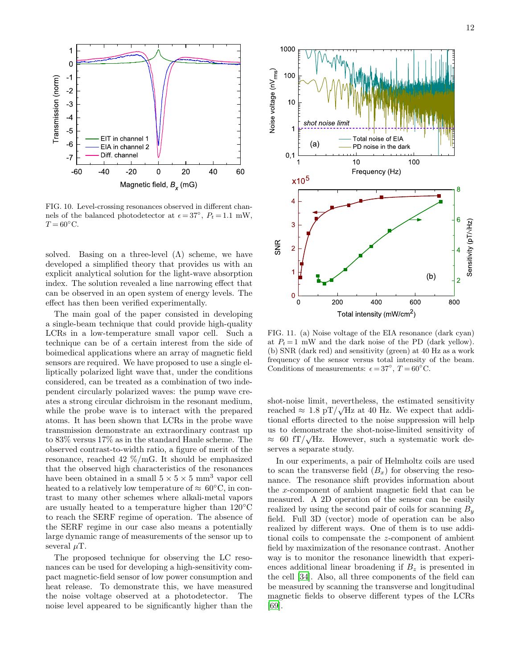

<span id="page-11-0"></span>FIG. 10. Level-crossing resonances observed in different channels of the balanced photodetector at  $\epsilon = 37^{\circ}$ ,  $P_t = 1.1$  mW,  $T = 60^{\circ}$ C.

solved. Basing on a three-level  $(\Lambda)$  scheme, we have developed a simplified theory that provides us with an explicit analytical solution for the light-wave absorption index. The solution revealed a line narrowing effect that can be observed in an open system of energy levels. The effect has then been verified experimentally.

The main goal of the paper consisted in developing a single-beam technique that could provide high-quality LCRs in a low-temperature small vapor cell. Such a technique can be of a certain interest from the side of boimedical applications where an array of magnetic field sensors are required. We have proposed to use a single elliptically polarized light wave that, under the conditions considered, can be treated as a combination of two independent circularly polarized waves: the pump wave creates a strong circular dichroism in the resonant medium, while the probe wave is to interact with the prepared atoms. It has been shown that LCRs in the probe wave transmission demonstrate an extraordinary contrast up to 83% versus 17% as in the standard Hanle scheme. The observed contrast-to-width ratio, a figure of merit of the resonance, reached 42 %/mG. It should be emphasized that the observed high characteristics of the resonances have been obtained in a small  $5 \times 5 \times 5$  mm<sup>3</sup> vapor cell heated to a relatively low temperature of  $\approx 60^{\circ}$ C, in contrast to many other schemes where alkali-metal vapors are usually heated to a temperature higher than 120◦C to reach the SERF regime of operation. The absence of the SERF regime in our case also means a potentially large dynamic range of measurements of the sensor up to several  $\mu$ T.

The proposed technique for observing the LC resonances can be used for developing a high-sensitivity compact magnetic-field sensor of low power consumption and heat release. To demonstrate this, we have measured the noise voltage observed at a photodetector. The noise level appeared to be significantly higher than the



<span id="page-11-1"></span>FIG. 11. (a) Noise voltage of the EIA resonance (dark cyan) at  $P_t = 1$  mW and the dark noise of the PD (dark yellow). (b) SNR (dark red) and sensitivity (green) at 40 Hz as a work frequency of the sensor versus total intensity of the beam. Conditions of measurements:  $\epsilon = 37^{\circ}$ ,  $T = 60^{\circ}$ C.

shot-noise limit, nevertheless, the estimated sensitivity reached  $\approx 1.8 \text{ pT}/\sqrt{\text{Hz}}$  at 40 Hz. We expect that additional efforts directed to the noise suppression will help us to demonstrate the shot-noise-limited sensitivity of  $\approx 60 \text{ fT}/\sqrt{\text{Hz}}$ . However, such a systematic work deserves a separate study.

In our experiments, a pair of Helmholtz coils are used to scan the transverse field  $(B_x)$  for observing the resonance. The resonance shift provides information about the x-component of ambient magnetic field that can be measured. A 2D operation of the sensor can be easily realized by using the second pair of coils for scanning  $B_y$ field. Full 3D (vector) mode of operation can be also realized by different ways. One of them is to use additional coils to compensate the z-component of ambient field by maximization of the resonance contrast. Another way is to monitor the resonance linewidth that experiences additional linear broadening if  $B<sub>z</sub>$  is presented in the cell [\[34](#page-15-10)]. Also, all three components of the field can be measured by scanning the transverse and longitudinal magnetic fields to observe different types of the LCRs [\[69\]](#page-16-13).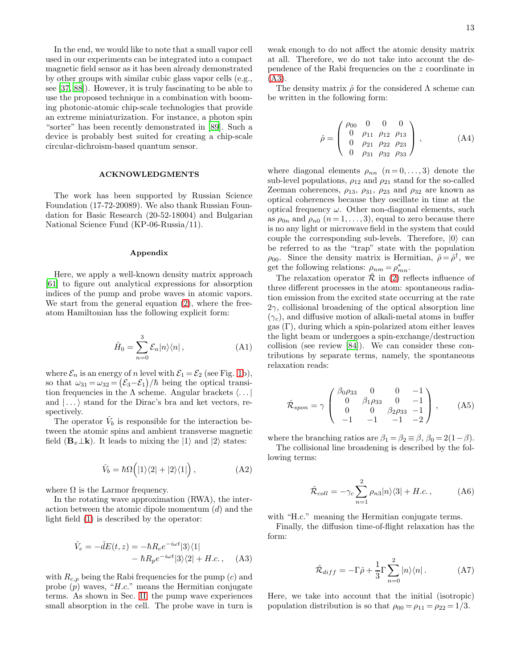In the end, we would like to note that a small vapor cell used in our experiments can be integrated into a compact magnetic field sensor as it has been already demonstrated by other groups with similar cubic glass vapor cells (e.g., see [\[37](#page-15-13), [88\]](#page-17-6)). However, it is truly fascinating to be able to use the proposed technique in a combination with booming photonic-atomic chip-scale technologies that provide an extreme miniaturization. For instance, a photon spin "sorter" has been recently demonstrated in [\[89](#page-17-7)]. Such a device is probably best suited for creating a chip-scale circular-dichroism-based quantum sensor.

### ACKNOWLEDGMENTS

The work has been supported by Russian Science Foundation (17-72-20089). We also thank Russian Foundation for Basic Research (20-52-18004) and Bulgarian National Science Fund (KP-06-Russia/11).

#### Appendix

Here, we apply a well-known density matrix approach [\[61\]](#page-16-7) to figure out analytical expressions for absorption indices of the pump and probe waves in atomic vapors. We start from the general equation  $(2)$ , where the freeatom Hamiltonian has the following explicit form:

$$
\hat{H}_0 = \sum_{n=0}^{3} \mathcal{E}_n |n\rangle\langle n| \,, \tag{A1}
$$

where  $\mathcal{E}_n$  is an energy of n level with  $\mathcal{E}_1 = \mathcal{E}_2$  (see Fig. [1b](#page-2-0)), so that  $\omega_{31} = \omega_{32} = (\mathcal{E}_3 - \mathcal{E}_1)/\hbar$  being the optical transition frequencies in the  $\Lambda$  scheme. Angular brackets  $\langle \dots |$ and  $| \dots \rangle$  stand for the Dirac's bra and ket vectors, respectively.

The operator  $\hat{V}_b$  is responsible for the interaction between the atomic spins and ambient transverse magnetic field  $(\mathbf{B}_x \perp \mathbf{k})$ . It leads to mixing the  $|1\rangle$  and  $|2\rangle$  states:

$$
\hat{V}_b = \hbar \Omega \Big( |1\rangle\langle 2| + |2\rangle\langle 1| \Big) \,, \tag{A2}
$$

where  $\Omega$  is the Larmor frequency.

In the rotating wave approximation (RWA), the interaction between the atomic dipole momentum  $(d)$  and the light field [\(1\)](#page-2-1) is described by the operator:

<span id="page-12-0"></span>
$$
\hat{V}_e = -\hat{d}E(t, z) = -\hbar R_c e^{-i\omega t} |3\rangle\langle 1| \n- \hbar R_p e^{-i\omega t} |3\rangle\langle 2| + H.c., \quad \text{(A3)}
$$

with  $R_{c,p}$  being the Rabi frequencies for the pump  $(c)$  and probe  $(p)$  waves, "H.c." means the Hermitian conjugate terms. As shown in Sec. [II,](#page-2-2) the pump wave experiences small absorption in the cell. The probe wave in turn is

weak enough to do not affect the atomic density matrix at all. Therefore, we do not take into account the dependence of the Rabi frequencies on the z coordinate in [\(A3\)](#page-12-0).

The density matrix  $\hat{\rho}$  for the considered  $\Lambda$  scheme can be written in the following form:

$$
\hat{\rho} = \begin{pmatrix}\n\rho_{00} & 0 & 0 & 0 \\
0 & \rho_{11} & \rho_{12} & \rho_{13} \\
0 & \rho_{21} & \rho_{22} & \rho_{23} \\
0 & \rho_{31} & \rho_{32} & \rho_{33}\n\end{pmatrix},
$$
\n(A4)

where diagonal elements  $\rho_{nn}$   $(n=0,\ldots,3)$  denote the sub-level populations,  $\rho_{12}$  and  $\rho_{21}$  stand for the so-called Zeeman coherences,  $\rho_{13}$ ,  $\rho_{31}$ ,  $\rho_{23}$  and  $\rho_{32}$  are known as optical coherences because they oscillate in time at the optical frequency  $\omega$ . Other non-diagonal elements, such as  $\rho_{0n}$  and  $\rho_{n0}$   $(n=1,\ldots,3)$ , equal to zero because there is no any light or microwave field in the system that could couple the corresponding sub-levels. Therefore,  $|0\rangle$  can be referred to as the "trap" state with the population  $\rho_{00}$ . Since the density matrix is Hermitian,  $\hat{\rho} = \hat{\rho}^{\dagger}$ , we get the following relations:  $\rho_{nm} = \rho_{mn}^*$ .

The relaxation operator  $\hat{\mathcal{R}}$  in [\(2\)](#page-3-5) reflects influence of three different processes in the atom: spontaneous radiation emission from the excited state occurring at the rate  $2\gamma$ , collisional broadening of the optical absorption line  $(\gamma_c)$ , and diffusive motion of alkali-metal atoms in buffer gas  $(\Gamma)$ , during which a spin-polarized atom either leaves the light beam or undergoes a spin-exchange/destruction collision (see review [\[84\]](#page-17-2)). We can consider these contributions by separate terms, namely, the spontaneous relaxation reads:

$$
\hat{\mathcal{R}}_{spon} = \gamma \begin{pmatrix} \beta_0 \rho_{33} & 0 & 0 & -1 \\ 0 & \beta_1 \rho_{33} & 0 & -1 \\ 0 & 0 & \beta_2 \rho_{33} & -1 \\ -1 & -1 & -1 & -2 \end{pmatrix}, \quad (A5)
$$

where the branching ratios are  $\beta_1 = \beta_2 \equiv \beta$ ,  $\beta_0 = 2(1-\beta)$ .

The collisional line broadening is described by the following terms:

$$
\hat{\mathcal{R}}_{coll} = -\gamma_c \sum_{n=1}^{2} \rho_{n3} |n\rangle\langle 3| + H.c., \qquad (A6)
$$

with "H.c." meaning the Hermitian conjugate terms.

Finally, the diffusion time-of-flight relaxation has the form:

$$
\hat{\mathcal{R}}_{diff} = -\Gamma \hat{\rho} + \frac{1}{3} \Gamma \sum_{n=0}^{2} |n\rangle \langle n| \,. \tag{A7}
$$

Here, we take into account that the initial (isotropic) population distribution is so that  $\rho_{00} = \rho_{11} = \rho_{22} = 1/3$ .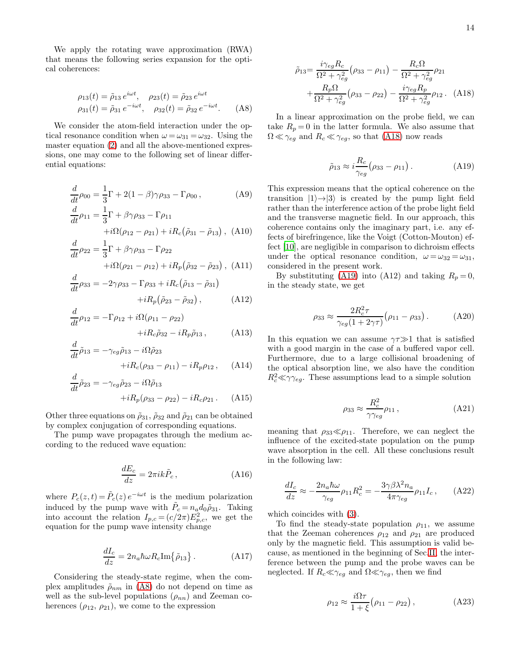We apply the rotating wave approximation (RWA) that means the following series expansion for the optical coherences:

<span id="page-13-0"></span>
$$
\rho_{13}(t) = \tilde{\rho}_{13} e^{i\omega t}, \quad \rho_{23}(t) = \tilde{\rho}_{23} e^{i\omega t}
$$
  
\n
$$
\rho_{31}(t) = \tilde{\rho}_{31} e^{-i\omega t}, \quad \rho_{32}(t) = \tilde{\rho}_{32} e^{-i\omega t}. \quad (A8)
$$

We consider the atom-field interaction under the optical resonance condition when  $\omega = \omega_{31} = \omega_{32}$ . Using the master equation [\(2\)](#page-3-5) and all the above-mentioned expressions, one may come to the following set of linear differential equations:

$$
\frac{d}{dt}\rho_{00} = \frac{1}{3}\Gamma + 2(1 - \beta)\gamma\rho_{33} - \Gamma\rho_{00},
$$
\n
$$
\frac{d}{dt}\rho_{11} = \frac{1}{3}\Gamma + \beta\gamma\rho_{33} - \Gamma\rho_{11}
$$
\n(A9)

$$
+i\Omega(\rho_{12}-\rho_{21})+iR_c(\tilde{\rho}_{31}-\tilde{\rho}_{13}),\ (A10)
$$
  

$$
1_{\Gamma_1+\rho_2} = \Gamma
$$

$$
\frac{d}{dt}\rho_{22} = \frac{1}{3}\Gamma + \beta\gamma\rho_{33} - \Gamma\rho_{22}
$$

$$
+i\Omega(\rho_{21} - \rho_{12}) + iR_p(\tilde{\rho}_{32} - \tilde{\rho}_{23}), \text{(A11)}
$$

d

$$
\frac{d}{dt}\rho_{33} = -2\gamma\rho_{33} - \Gamma\rho_{33} + iR_c(\tilde{\rho}_{13} - \tilde{\rho}_{31}) \n+ iR_p(\tilde{\rho}_{23} - \tilde{\rho}_{32}),
$$
\n(A12)

$$
\frac{d}{dt}\rho_{12} = -\Gamma \rho_{12} + i\Omega(\rho_{11} - \rho_{22}) \n+ iR_c\tilde{\rho}_{32} - iR_p\tilde{\rho}_{13},
$$
\n(A13)

$$
\frac{d}{dt}\tilde{\rho}_{13} = -\gamma_{eg}\tilde{\rho}_{13} - i\Omega\tilde{\rho}_{23} \n+ iR_c(\rho_{33} - \rho_{11}) - iR_p\rho_{12}, \quad (A14)
$$

$$
\frac{d}{dt}\tilde{\rho}_{23} = -\gamma_{eg}\tilde{\rho}_{23} - i\Omega\tilde{\rho}_{13}
$$

$$
+iR_p(\rho_{33} - \rho_{22}) - iR_c\rho_{21}.
$$
 (A15)

Other three equations on  $\tilde{\rho}_{31}$ ,  $\tilde{\rho}_{32}$  and  $\tilde{\rho}_{21}$  can be obtained by complex conjugation of corresponding equations.

The pump wave propagates through the medium according to the reduced wave equation:

$$
\frac{dE_c}{dz} = 2\pi ik \tilde{P}_c, \qquad (A16)
$$

where  $P_c(z,t) = \tilde{P}_c(z) e^{-i\omega t}$  is the medium polarization induced by the pump wave with  $\tilde{P}_c = n_a d_0 \tilde{\rho}_{31}$ . Taking into account the relation  $I_{p,c} = (c/2\pi)E_{p,c}^2$ , we get the equation for the pump wave intensity change

<span id="page-13-5"></span>
$$
\frac{dI_c}{dz} = 2n_a \hbar \omega R_c \text{Im}\{\tilde{\rho}_{13}\} \,. \tag{A17}
$$

Considering the steady-state regime, when the complex amplitudes  $\tilde{\rho}_{nm}$  in [\(A8\)](#page-13-0) do not depend on time as well as the sub-level populations  $(\rho_{nn})$  and Zeeman coherences  $(\rho_{12}, \rho_{21})$ , we come to the expression

 $\Omega^2+\gamma^2_{eg}$ 

In a linear approximation on the probe field, we can take  $R_p = 0$  in the latter formula. We also assume that  $\Omega \ll \gamma_{eg}$  and  $R_c \ll \gamma_{eg}$ , so that [\(A18\)](#page-13-1) now reads

 $(\rho_{33} - \rho_{22}) -$ 

<span id="page-13-1"></span> $+\frac{R_p\Omega}{\Omega^2}$  $\Omega^2+\gamma^2_{eg}$ 

<span id="page-13-2"></span>
$$
\tilde{\rho}_{13} \approx i \frac{R_c}{\gamma_{eg}} (\rho_{33} - \rho_{11}). \tag{A19}
$$

This expression means that the optical coherence on the transition  $|1\rangle \rightarrow |3\rangle$  is created by the pump light field rather than the interference action of the probe light field and the transverse magnetic field. In our approach, this coherence contains only the imaginary part, i.e. any effects of birefringence, like the Voigt (Cotton-Mouton) effect [\[10](#page-14-8)], are negligible in comparison to dichroism effects under the optical resonance condition,  $\omega = \omega_{32} = \omega_{31}$ , considered in the present work.

By substituting [\(A19\)](#page-13-2) into (A12) and taking  $R_p = 0$ , in the steady state, we get

$$
\rho_{33} \approx \frac{2R_c^2 \tau}{\gamma_{eg}(1 + 2\gamma \tau)} (\rho_{11} - \rho_{33}).
$$
 (A20)

In this equation we can assume  $\gamma \gg 1$  that is satisfied with a good margin in the case of a buffered vapor cell. Furthermore, due to a large collisional broadening of the optical absorption line, we also have the condition  $R_c^2 \ll \gamma \gamma_{eg}$ . These assumptions lead to a simple solution

$$
\rho_{33} \approx \frac{R_c^2}{\gamma \gamma_{eg}} \rho_{11} , \qquad (A21)
$$

meaning that  $\rho_{33} \ll \rho_{11}$ . Therefore, we can neglect the influence of the excited-state population on the pump wave absorption in the cell. All these conclusions result in the following law:

<span id="page-13-4"></span>
$$
\frac{dI_c}{dz} \approx -\frac{2n_a\hbar\omega}{\gamma_{eg}}\rho_{11}R_c^2 = -\frac{3\gamma\beta\lambda^2n_a}{4\pi\gamma_{eg}}\rho_{11}I_c\,,\qquad\text{(A22)}
$$

which coincides with [\(3\)](#page-3-3).

To find the steady-state population  $\rho_{11}$ , we assume that the Zeeman coherences  $\rho_{12}$  and  $\rho_{21}$  are produced only by the magnetic field. This assumption is valid because, as mentioned in the beginning of Sec[.II,](#page-2-2) the interference between the pump and the probe waves can be neglected. If  $R_c \ll \gamma_{eg}$  and  $\Omega \ll \gamma_{eg}$ , then we find

<span id="page-13-3"></span>
$$
\rho_{12} \approx \frac{i\Omega\tau}{1+\xi} \left(\rho_{11} - \rho_{22}\right),\tag{A23}
$$

 $\rho_{12}$ . (A18)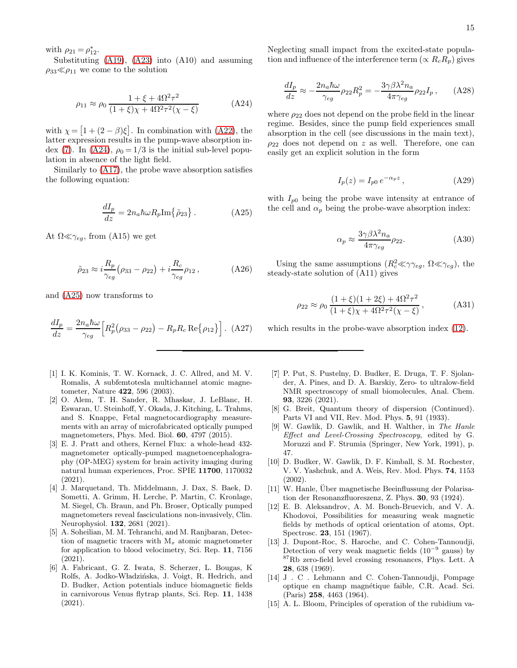with  $\rho_{21} = \rho_{12}^*$ .

Substituting [\(A19\)](#page-13-2), [\(A23\)](#page-13-3) into (A10) and assuming  $\rho_{33} \ll \rho_{11}$  we come to the solution

<span id="page-14-14"></span>
$$
\rho_{11} \approx \rho_0 \frac{1 + \xi + 4\Omega^2 \tau^2}{(1 + \xi)\chi + 4\Omega^2 \tau^2 (\chi - \xi)}
$$
(A24)

with  $\chi = [1 + (2 - \beta)\xi]$ . In combination with [\(A22\)](#page-13-4), the latter expression results in the pump-wave absorption in-dex [\(7\)](#page-3-2). In [\(A24\)](#page-14-14),  $\rho_0 = 1/3$  is the initial sub-level population in absence of the light field.

Similarly to [\(A17\)](#page-13-5), the probe wave absorption satisfies the following equation:

<span id="page-14-15"></span>
$$
\frac{dI_p}{dz} = 2n_a \hbar \omega R_p \text{Im}\{\tilde{\rho}_{23}\} \,. \tag{A25}
$$

At  $\Omega \ll \gamma_{eg}$ , from (A15) we get

$$
\tilde{\rho}_{23} \approx i \frac{R_p}{\gamma_{eg}} (\rho_{33} - \rho_{22}) + i \frac{R_c}{\gamma_{eg}} \rho_{12} , \qquad (A26)
$$

and [\(A25\)](#page-14-15) now transforms to

$$
\frac{dI_p}{dz} = \frac{2n_a\hbar\omega}{\gamma_{eg}} \Big[ R_p^2 (\rho_{33} - \rho_{22}) - R_p R_c \operatorname{Re} \{ \rho_{12} \} \Big]. \tag{A27}
$$

- <span id="page-14-0"></span>[1] I. K. Kominis, T. W. Kornack, J. C. Allred, and M. V. Romalis, A subfemtotesla multichannel atomic magnetometer, Nature 422, 596 (2003).
- <span id="page-14-1"></span>[2] O. Alem, T. H. Sander, R. Mhaskar, J. LeBlanc, H. Eswaran, U. Steinhoff, Y. Okada, J. Kitching, L. Trahms, and S. Knappe, Fetal magnetocardiography measurements with an array of microfabricated optically pumped magnetometers, Phys. Med. Biol. 60, 4797 (2015).
- <span id="page-14-2"></span>[3] E. J. Pratt and others, Kernel Flux: a whole-head 432 magnetometer optically-pumped magnetoencephalography (OP-MEG) system for brain activity imaging during natural human experiences, Proc. SPIE 11700, 1170032 (2021).
- <span id="page-14-3"></span>[4] J. Marquetand, Th. Middelmann, J. Dax, S. Baek, D. Sometti, A. Grimm, H. Lerche, P. Martin, C. Kronlage, M. Siegel, Ch. Braun, and Ph. Broser, Optically pumped magnetometers reveal fasciculations non-invasively, Clin. Neurophysiol. 132, 2681 (2021).
- <span id="page-14-4"></span>[5] A. Soheilian, M. M. Tehranchi, and M. Ranjbaran, Detection of magnetic tracers with  $M_x$  atomic magnetometer for application to blood velocimetry, Sci. Rep. 11, 7156 (2021).
- <span id="page-14-5"></span>[6] A. Fabricant, G. Z. Iwata, S. Scherzer, L. Bougas, K Rolfs, A. Jodko-Władzińska, J. Voigt, R. Hedrich, and D. Budker, Action potentials induce biomagnetic fields in carnivorous Venus flytrap plants, Sci. Rep. 11, 1438 (2021).

Neglecting small impact from the excited-state population and influence of the interference term ( $\propto R_cR_p$ ) gives

$$
\frac{dI_p}{dz} \approx -\frac{2n_a\hbar\omega}{\gamma_{eg}}\rho_{22}R_p^2 = -\frac{3\gamma\beta\lambda^2n_a}{4\pi\gamma_{eg}}\rho_{22}I_p\,,\qquad\text{(A28)}
$$

where  $\rho_{22}$  does not depend on the probe field in the linear regime. Besides, since the pump field experiences small absorption in the cell (see discussions in the main text),  $\rho_{22}$  does not depend on z as well. Therefore, one can easily get an explicit solution in the form

$$
I_p(z) = I_{p0} e^{-\alpha_p z}, \qquad (A29)
$$

with  $I_{p0}$  being the probe wave intensity at entrance of the cell and  $\alpha_p$  being the probe-wave absorption index:

$$
\alpha_p \approx \frac{3\gamma\beta\lambda^2 n_a}{4\pi\gamma_{eg}} \rho_{22}.\tag{A30}
$$

Using the same assumptions  $(R_c^2 \ll \gamma \gamma_{eg}, \Omega \ll \gamma_{eg})$ , the steady-state solution of (A11) gives

$$
\rho_{22} \approx \rho_0 \frac{(1+\xi)(1+2\xi) + 4\Omega^2 \tau^2}{(1+\xi)\chi + 4\Omega^2 \tau^2(\chi - \xi)},
$$
 (A31)

which results in the probe-wave absorption index [\(12\)](#page-5-0).

- <span id="page-14-6"></span>[7] P. Put, S. Pustelny, D. Budker, E. Druga, T. F. Sjolander, A. Pines, and D. A. Barskiy, Zero- to ultralow-field NMR spectroscopy of small biomolecules, Anal. Chem. 93, 3226 (2021).
- <span id="page-14-7"></span>[8] G. Breit, Quantum theory of dispersion (Continued). Parts VI and VII, Rev. Mod. Phys. 5, 91 (1933).
- [9] W. Gawlik, D. Gawlik, and H. Walther, in The Hanle Effect and Level-Crossing Spectroscopy, edited by G. Moruzzi and F. Strumia (Springer, New York, 1991), p. 47.
- <span id="page-14-8"></span>[10] D. Budker, W. Gawlik, D. F. Kimball, S. M. Rochester, V. V. Yashchuk, and A. Weis, Rev. Mod. Phys. 74, 1153 (2002).
- <span id="page-14-9"></span>[11] W. Hanle, Über magnetische Beeinflussung der Polarisation der Resonanzfluoreszenz, Z. Phys. 30, 93 (1924).
- <span id="page-14-10"></span>[12] E. B. Aleksandrov, A. M. Bonch-Bruevich, and V. A. Khodovoi, Possibilities for measuring weak magnetic fields by methods of optical orientation of atoms, Opt. Spectrosc. 23, 151 (1967).
- <span id="page-14-11"></span>[13] J. Dupont-Roc, S. Haroche, and C. Cohen-Tannoudji, Detection of very weak magnetic fields (10<sup>−</sup><sup>9</sup> gauss) by <sup>87</sup>Rb zero-field level crossing resonances, Phys. Lett. A 28, 638 (1969).
- <span id="page-14-12"></span>[14] J . C . Lehmann and C. Cohen-Tannoudji, Pompage optique en champ magn´etique faible, C.R. Acad. Sci. (Paris) 258, 4463 (1964).
- <span id="page-14-13"></span>[15] A. L. Bloom, Principles of operation of the rubidium va-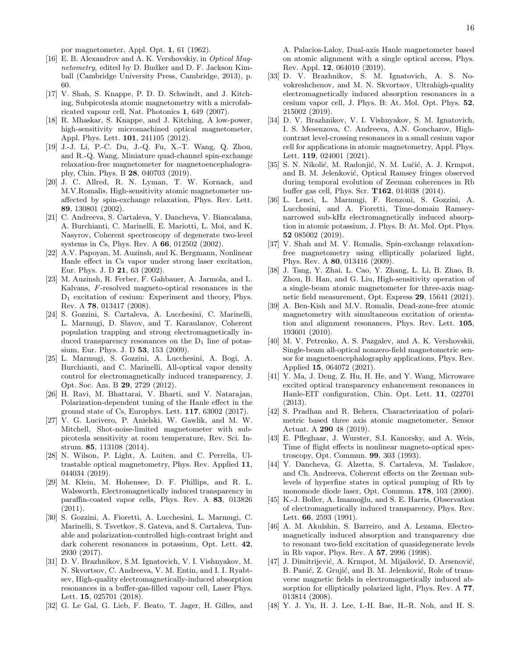por magnetometer, Appl. Opt. 1, 61 (1962).

- <span id="page-15-0"></span>[16] E. B. Alexandrov and A. K. Vershovskiy, in Optical Magnetometry, edited by D. Budker and D. F. Jackson Kimball (Cambridge University Press, Cambridge, 2013), p. 60.
- <span id="page-15-1"></span>[17] V. Shah, S. Knappe, P. D. D. Schwindt, and J. Kitching, Subpicotesla atomic magnetometry with a microfabricated vapour cell, Nat. Photonics 1, 649 (2007).
- <span id="page-15-2"></span>[18] R. Mhaskar, S. Knappe, and J. Kitching, A low-power, high-sensitivity micromachined optical magnetometer, Appl. Phys. Lett. 101, 241105 (2012).
- <span id="page-15-3"></span>[19] J.-J. Li, P.-C. Du, J.-Q. Fu, X.-T. Wang, Q. Zhou, and R.-Q. Wang, Miniature quad-channel spin-exchange relaxation-free magnetometer for magnetoencephalography, Chin. Phys. B 28, 040703 (2019).
- <span id="page-15-4"></span>[20] J. C. Allred, R. N. Lyman, T. W. Kornack, and M.V.Romalis, High-sensitivity atomic magnetometer unaffected by spin-exchange relaxation, Phys. Rev. Lett. 89, 130801 (2002).
- <span id="page-15-5"></span>[21] C. Andreeva, S. Cartaleva, Y. Dancheva, V. Biancalana, A. Burchianti, C. Marinelli, E. Mariotti, L. Moi, and K. Nasyrov, Coherent spectroscopy of degenerate two-level systems in Cs, Phys. Rev. A 66, 012502 (2002).
- <span id="page-15-23"></span>[22] A.V. Papoyan, M. Auzinsh, and K. Bergmann, Nonlinear Hanle effect in Cs vapor under strong laser excitation, Eur. Phys. J. D 21, 63 (2002).
- [23] M. Auzinsh, R. Ferber, F. Gahbauer, A. Jarmola, and L. Kalvans, F-resolved magneto-optical resonances in the D<sup>1</sup> excitation of cesium: Experiment and theory, Phys. Rev. A 78, 013417 (2008).
- <span id="page-15-25"></span>[24] S. Gozzini, S. Cartaleva, A. Lucchesini, C. Marinelli, L. Marmugi, D. Slavov, and T. Karaulanov, Coherent population trapping and strong electromagnetically induced transparency resonances on the  $D_1$  line of potassium, Eur. Phys. J. D 53, 153 (2009).
- [25] L. Marmugi, S. Gozzini, A. Lucchesini, A. Bogi, A. Burchianti, and C. Marinelli, All-optical vapor density control for electromagnetically induced transparency, J. Opt. Soc. Am. B 29, 2729 (2012).
- <span id="page-15-6"></span>[26] H. Ravi, M. Bhattarai, V. Bharti, and V. Natarajan, Polarization-dependent tuning of the Hanle effect in the ground state of Cs, Europhys. Lett. 117, 63002 (2017).
- <span id="page-15-7"></span>[27] V. G. Lucivero, P. Anielski, W. Gawlik, and M. W. Mitchell, Shot-noise-limited magnetometer with subpicotesla sensitivity at room temperature, Rev. Sci. Instrum. 85, 113108 (2014).
- <span id="page-15-8"></span>[28] N. Wilson, P. Light, A. Luiten, and C. Perrella, Ultrastable optical magnetometry, Phys. Rev. Applied 11, 044034 (2019).
- <span id="page-15-9"></span>[29] M. Klein, M. Hohensee, D. F. Phillips, and R. L. Walsworth, Electromagnetically induced transparency in paraffin-coated vapor cells, Phys. Rev. A 83, 013826 (2011).
- <span id="page-15-26"></span>[30] S. Gozzini, A. Fioretti, A. Lucchesini, L. Marmugi, C. Marinelli, S. Tsvetkov, S. Gateva, and S. Cartaleva, Tunable and polarization-controlled high-contrast bright and dark coherent resonances in potassium, Opt. Lett. 42, 2930 (2017).
- [31] D. V. Brazhnikov, S.M. Ignatovich, V. I. Vishnyakov, M. N. Skvortsov, C. Andreeva, V. M. Entin, and I. I. Ryabtsev, High-quality electromagnetically-induced absorption resonances in a buffer-gas-filled vapour cell, Laser Phys. Lett. 15, 025701 (2018).
- [32] G. Le Gal, G. Lieb, F. Beato, T. Jager, H. Gilles, and

A. Palacios-Laloy, Dual-axis Hanle magnetometer based on atomic alignment with a single optical access, Phys. Rev. Appl. 12, 064010 (2019).

- <span id="page-15-27"></span>[33] D. V. Brazhnikov, S. M. Ignatovich, A. S. Novokreshchenov, and M. N. Skvortsov, Ultrahigh-quality electromagnetically induced absorption resonances in a cesium vapor cell, J. Phys. B: At. Mol. Opt. Phys. 52, 215002 (2019).
- <span id="page-15-10"></span>[34] D. V. Brazhnikov, V. I. Vishnyakov, S. M. Ignatovich, I. S. Mesenzova, C. Andreeva, A.N. Goncharov, Highcontrast level-crossing resonances in a small cesium vapor cell for applications in atomic magnetometry, Appl. Phys. Lett. 119, 024001 (2021).
- <span id="page-15-11"></span>[35] S. N. Nikolić, M. Radonjić, N. M. Lučić, A. J. Krmpot, and B. M. Jelenković, Optical Ramsey fringes observed during temporal evolution of Zeeman coherences in Rb buffer gas cell, Phys. Scr. T162, 014038 (2014).
- <span id="page-15-12"></span>[36] L. Lenci, L. Marmugi, F. Renzoni, S. Gozzini, A. Lucchesini, and A. Fioretti, Time-domain Ramseynarrowed sub-kHz electromagnetically induced absorption in atomic potassium, J. Phys. B: At. Mol. Opt. Phys. 52 085002 (2019).
- <span id="page-15-13"></span>[37] V. Shah and M. V. Romalis, Spin-exchange relaxationfree magnetometry using elliptically polarized light, Phys. Rev. A 80, 013416 (2009).
- <span id="page-15-14"></span>[38] J. Tang, Y. Zhai, L. Cao, Y. Zhang, L. Li, B. Zhao, B. Zhou, B. Han, and G. Liu, High-sensitivity operation of a single-beam atomic magnetometer for three-axis magnetic field measurement, Opt. Express 29, 15641 (2021).
- <span id="page-15-15"></span>[39] A. Ben-Kish and M.V. Romalis, Dead-zone-free atomic magnetometry with simultaneous excitation of orientation and alignment resonances, Phys. Rev. Lett. 105, 193601 (2010).
- <span id="page-15-16"></span>[40] M. V. Petrenko, A. S. Pazgalev, and A. K. Vershovskii, Single-beam all-optical nonzero-field magnetometric sensor for magnetoencephalography applications, Phys. Rev. Applied 15, 064072 (2021).
- <span id="page-15-17"></span>[41] Y. Ma, J. Deng, Z. Hu, H. He, and Y. Wang, Microwave excited optical transparency enhancement resonances in Hanle-EIT configuration, Chin. Opt. Lett. 11, 022701 (2013).
- <span id="page-15-18"></span>[42] S. Pradhan and R. Behera, Characterization of polarimetric based three axis atomic magnetometer, Sensor Actuat. A 290 48 (2019).
- <span id="page-15-19"></span>[43] E. Pfleghaar, J. Wurster, S.I. Kanorsky, and A. Weis, Time of flight effects in nonlinear magneto-optical spectroscopy, Opt. Commun. 99, 303 (1993).
- <span id="page-15-20"></span>[44] Y. Dancheva, G. Alzetta, S. Cartaleva, M. Taslakov, and Ch. Andreeva, Coherent effects on the Zeeman sublevels of hyperfine states in optical pumping of Rb by monomode diode laser, Opt. Commun. 178, 103 (2000).
- <span id="page-15-21"></span>[45] K.-J. Boller, A. Imamoğlu, and S. E. Harris, Observation of electromagnetically induced transparency, Phys. Rev. Lett. 66, 2593 (1991).
- <span id="page-15-22"></span>[46] A. M. Akulshin, S. Barreiro, and A. Lezama, Electromagnetically induced absorption and transparency due to resonant two-field excitation of quasidegenerate levels in Rb vapor, Phys. Rev. A 57, 2996 (1998).
- [47] J. Dimitrijević, A. Krmpot, M. Mijailović, D. Arsenović, B. Panić, Z. Grujić, and B. M. Jelenković, Role of transverse magnetic fields in electromagnetically induced absorption for elliptically polarized light, Phys. Rev. A 77, 013814 (2008).
- <span id="page-15-24"></span>[48] Y. J. Yu, H. J. Lee, I.-H. Bae, H.-R. Noh, and H. S.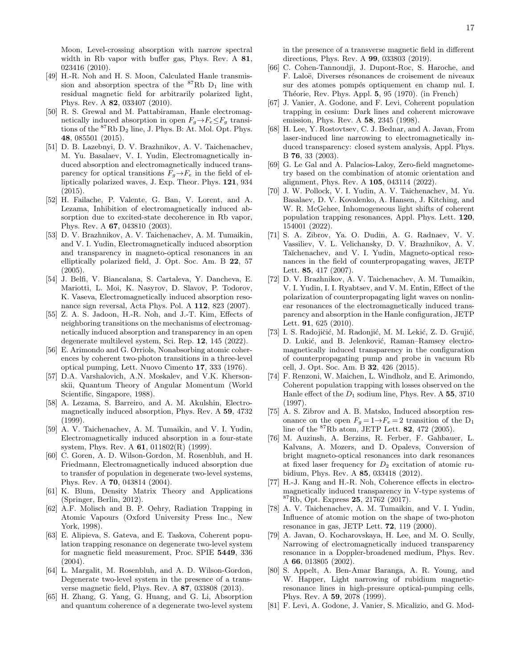Moon, Level-crossing absorption with narrow spectral width in Rb vapor with buffer gas, Phys. Rev. A 81, 023416 (2010).

- [49] H.-R. Noh and H. S. Moon, Calculated Hanle transmission and absorption spectra of the  ${}^{87}Rb$  D<sub>1</sub> line with residual magnetic field for arbitrarily polarized light, Phys. Rev. A 82, 033407 (2010).
- <span id="page-16-3"></span>[50] R. S. Grewal and M. Pattabiraman, Hanle electromagnetically induced absorption in open  $F_g \rightarrow F_e \leq F_g$  transitions of the  ${}^{87}\text{Rb}$   $\text{D}_2$  line, J. Phys. B: At. Mol. Opt. Phys. 48, 085501 (2015).
- <span id="page-16-0"></span>[51] D. B. Lazebnyi, D. V. Brazhnikov, A. V. Taichenachev, M. Yu. Basalaev, V. I. Yudin, Electromagnetically induced absorption and electromagnetically induced transparency for optical transitions  $F_g \rightarrow F_e$  in the field of elliptically polarized waves, J. Exp. Theor. Phys. 121, 934 (2015).
- <span id="page-16-1"></span>[52] H. Failache, P. Valente, G. Ban, V. Lorent, and A. Lezama, Inhibition of electromagnetically induced absorption due to excited-state decoherence in Rb vapor, Phys. Rev. A 67, 043810 (2003).
- [53] D. V. Brazhnikov, A. V. Taichenachev, A. M. Tumaikin, and V. I. Yudin, Electromagnetically induced absorption and transparency in magneto-optical resonances in an elliptically polarized field, J. Opt. Soc. Am. B 22, 57 (2005).
- <span id="page-16-2"></span>[54] J. Belfi, V. Biancalana, S. Cartaleva, Y. Dancheva, E. Mariotti, L. Moi, K. Nasyrov, D. Slavov, P. Todorov, K. Vaseva, Electromagnetically induced absorption resonance sign reversal, Acta Phys. Pol. A 112, 823 (2007).
- <span id="page-16-4"></span>[55] Z. A. S. Jadoon, H.-R. Noh, and J.-T. Kim, Effects of neighboring transitions on the mechanisms of electromagnetically induced absorption and transparency in an open degenerate multilevel system, Sci. Rep. 12, 145 (2022).
- <span id="page-16-5"></span>[56] E. Arimondo and G. Orriols, Nonabsorbing atomic coherences by coherent two-photon transitions in a three-level optical pumping, Lett. Nuovo Cimento 17, 333 (1976).
- <span id="page-16-6"></span>[57] D.A. Varshalovich, A.N. Moskalev, and V.K. Khersonskii, Quantum Theory of Angular Momentum (World Scientific, Singapore, 1988).
- [58] A. Lezama, S. Barreiro, and A. M. Akulshin, Electromagnetically induced absorption, Phys. Rev. A 59, 4732 (1999).
- [59] A. V. Taichenachev, A. M. Tumaikin, and V. I. Yudin, Electromagnetically induced absorption in a four-state system, Phys. Rev. A 61, 011802(R) (1999).
- [60] C. Goren, A. D. Wilson-Gordon, M. Rosenbluh, and H. Friedmann, Electromagnetically induced absorption due to transfer of population in degenerate two-level systems, Phys. Rev. A 70, 043814 (2004).
- <span id="page-16-7"></span>[61] K. Blum, Density Matrix Theory and Applications (Springer, Berlin, 2012).
- [62] A.F. Molisch and B. P. Oehry, Radiation Trapping in Atomic Vapours (Oxford University Press Inc., New York, 1998).
- <span id="page-16-8"></span>[63] E. Alipieva, S. Gateva, and E. Taskova, Coherent population trapping resonance on degenerate two-level system for magnetic field measurement, Proc. SPIE 5449, 336 (2004).
- [64] L. Margalit, M. Rosenbluh, and A. D. Wilson-Gordon, Degenerate two-level system in the presence of a transverse magnetic field, Phys. Rev. A 87, 033808 (2013).
- <span id="page-16-9"></span>[65] H. Zhang, G. Yang, G. Huang, and G. Li, Absorption and quantum coherence of a degenerate two-level system

in the presence of a transverse magnetic field in different directions, Phys. Rev. A 99, 033803 (2019).

- <span id="page-16-10"></span>[66] C. Cohen-Tannoudji, J. Dupont-Roc, S. Haroche, and F. Laloë, Diverses résonances de croisement de niveaux sur des atomes pompés optiquement en champ nul. I. Théorie, Rev. Phys. Appl. 5, 95 (1970). (in French)
- <span id="page-16-11"></span>[67] J. Vanier, A. Godone, and F. Levi, Coherent population trapping in cesium: Dark lines and coherent microwave emission, Phys. Rev. A 58, 2345 (1998).
- <span id="page-16-12"></span>[68] H. Lee, Y. Rostovtsev, C. J. Bednar, and A. Javan, From laser-induced line narrowing to electromagnetically induced transparency: closed system analysis, Appl. Phys. B 76, 33 (2003).
- <span id="page-16-13"></span>[69] G. Le Gal and A. Palacios-Laloy, Zero-field magnetometry based on the combination of atomic orientation and alignment, Phys. Rev. A 105, 043114 (2022).
- <span id="page-16-14"></span>[70] J. W. Pollock, V. I. Yudin, A. V. Taichenachev, M. Yu. Basalaev, D. V. Kovalenko, A. Hansen, J. Kitching, and W. R. McGehee, Inhomogeneous light shifts of coherent population trapping resonances, Appl. Phys. Lett. 120, 154001 (2022).
- <span id="page-16-15"></span>[71] S. A. Zibrov, Ya. O. Dudin, A. G. Radnaev, V. V. Vassiliev, V. L. Velichansky, D. V. Brazhnikov, A. V. Taĭchenachev, and V. I. Yudin, Magneto-optical resonances in the field of counterpropagating waves, JETP Lett. 85, 417 (2007).
- [72] D. V. Brazhnikov, A. V. Taichenachev, A. M. Tumaikin, V. I. Yudin, I. I. Ryabtsev, and V. M. Entin, Effect of the polarization of counterpropagating light waves on nonlinear resonances of the electromagnetically induced transparency and absorption in the Hanle configuration, JETP Lett. 91, 625 (2010).
- <span id="page-16-16"></span>[73] I. S. Radojičić, M. Radonjić, M. M. Lekić, Z. D. Grujić, D. Lukić, and B. Jelenković, Raman–Ramsey electromagnetically induced transparency in the configuration of counterpropagating pump and probe in vacuum Rb cell, J. Opt. Soc. Am. B 32, 426 (2015).
- <span id="page-16-17"></span>[74] F. Renzoni, W. Maichen, L. Windholz, and E. Arimondo, Coherent population trapping with losses observed on the Hanle effect of the  $D_1$  sodium line, Phys. Rev. A 55, 3710 (1997).
- [75] A. S. Zibrov and A. B. Matsko, Induced absorption resonance on the open  $F_g = 1 \rightarrow F_e = 2$  transition of the D<sub>1</sub> line of the  ${}^{87}\text{Rb}$  atom, JETP Lett. **82**, 472 (2005).
- [76] M. Auzinsh, A. Berzins, R. Ferber, F. Gahbauer, L. Kalvans, A. Mozers, and D. Opalevs, Conversion of bright magneto-optical resonances into dark resonances at fixed laser frequency for  $D_2$  excitation of atomic rubidium, Phys. Rev. A 85, 033418 (2012).
- <span id="page-16-18"></span>[77] H.-J. Kang and H.-R. Noh, Coherence effects in electromagnetically induced transparency in V-type systems of  ${}^{87}Rb$ , Opt. Express 25, 21762 (2017).
- <span id="page-16-19"></span>[78] A. V. Taichenachev, A. M. Tumaikin, and V. I. Yudin, Influence of atomic motion on the shape of two-photon resonance in gas, JETP Lett. 72, 119 (2000).
- <span id="page-16-20"></span>[79] A. Javan, O. Kocharovskaya, H. Lee, and M. O. Scully, Narrowing of electromagnetically induced transparency resonance in a Doppler-broadened medium, Phys. Rev. A 66, 013805 (2002).
- <span id="page-16-21"></span>[80] S. Appelt, A. Ben-Amar Baranga, A. R. Young, and W. Happer, Light narrowing of rubidium magneticresonance lines in high-pressure optical-pumping cells, Phys. Rev. A 59, 2078 (1999).
- <span id="page-16-22"></span>[81] F. Levi, A. Godone, J. Vanier, S. Micalizio, and G. Mod-